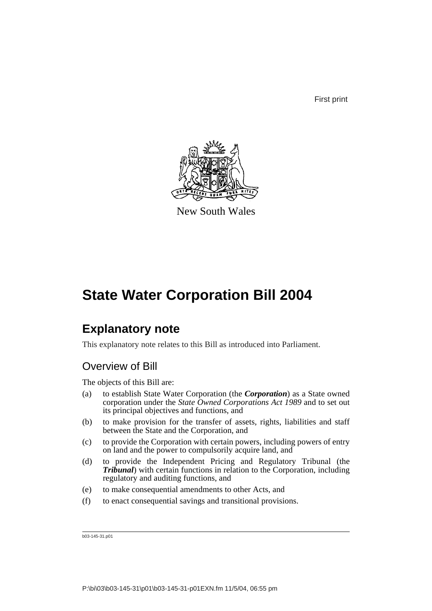First print



New South Wales

# **State Water Corporation Bill 2004**

## **Explanatory note**

This explanatory note relates to this Bill as introduced into Parliament.

## Overview of Bill

The objects of this Bill are:

- (a) to establish State Water Corporation (the *Corporation*) as a State owned corporation under the *State Owned Corporations Act 1989* and to set out its principal objectives and functions, and
- (b) to make provision for the transfer of assets, rights, liabilities and staff between the State and the Corporation, and
- (c) to provide the Corporation with certain powers, including powers of entry on land and the power to compulsorily acquire land, and
- (d) to provide the Independent Pricing and Regulatory Tribunal (the *Tribunal*) with certain functions in relation to the Corporation, including regulatory and auditing functions, and
- (e) to make consequential amendments to other Acts, and
- (f) to enact consequential savings and transitional provisions.

b03-145-31.p01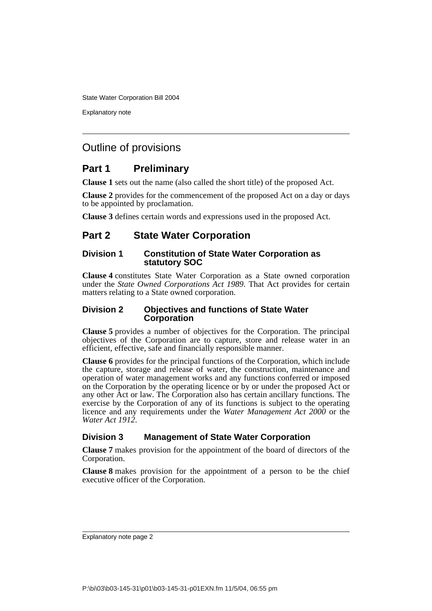Explanatory note

## Outline of provisions

## **Part 1 Preliminary**

**Clause 1** sets out the name (also called the short title) of the proposed Act.

**Clause 2** provides for the commencement of the proposed Act on a day or days to be appointed by proclamation.

**Clause 3** defines certain words and expressions used in the proposed Act.

## **Part 2 State Water Corporation**

### **Division 1 Constitution of State Water Corporation as statutory SOC**

**Clause 4** constitutes State Water Corporation as a State owned corporation under the *State Owned Corporations Act 1989*. That Act provides for certain matters relating to a State owned corporation.

#### **Division 2 Objectives and functions of State Water Corporation**

**Clause 5** provides a number of objectives for the Corporation. The principal objectives of the Corporation are to capture, store and release water in an efficient, effective, safe and financially responsible manner.

**Clause 6** provides for the principal functions of the Corporation, which include the capture, storage and release of water, the construction, maintenance and operation of water management works and any functions conferred or imposed on the Corporation by the operating licence or by or under the proposed Act or any other Act or law. The Corporation also has certain ancillary functions. The exercise by the Corporation of any of its functions is subject to the operating licence and any requirements under the *Water Management Act 2000* or the *Water Act 1912*.

## **Division 3 Management of State Water Corporation**

**Clause 7** makes provision for the appointment of the board of directors of the Corporation.

**Clause 8** makes provision for the appointment of a person to be the chief executive officer of the Corporation.

Explanatory note page 2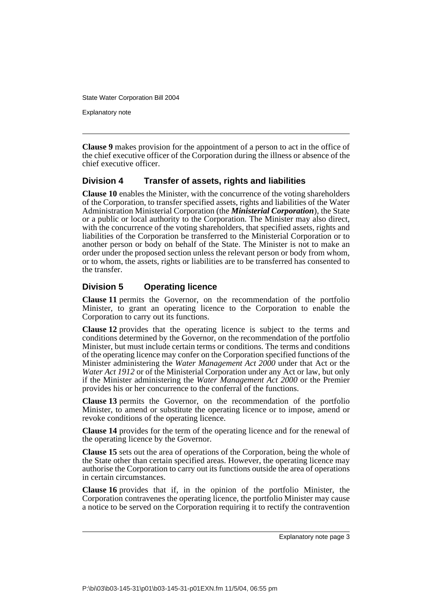Explanatory note

**Clause 9** makes provision for the appointment of a person to act in the office of the chief executive officer of the Corporation during the illness or absence of the chief executive officer.

### **Division 4 Transfer of assets, rights and liabilities**

**Clause 10** enables the Minister, with the concurrence of the voting shareholders of the Corporation, to transfer specified assets, rights and liabilities of the Water Administration Ministerial Corporation (the *Ministerial Corporation*), the State or a public or local authority to the Corporation. The Minister may also direct, with the concurrence of the voting shareholders, that specified assets, rights and liabilities of the Corporation be transferred to the Ministerial Corporation or to another person or body on behalf of the State. The Minister is not to make an order under the proposed section unless the relevant person or body from whom, or to whom, the assets, rights or liabilities are to be transferred has consented to the transfer.

### **Division 5 Operating licence**

**Clause 11** permits the Governor, on the recommendation of the portfolio Minister, to grant an operating licence to the Corporation to enable the Corporation to carry out its functions.

**Clause 12** provides that the operating licence is subject to the terms and conditions determined by the Governor, on the recommendation of the portfolio Minister, but must include certain terms or conditions. The terms and conditions of the operating licence may confer on the Corporation specified functions of the Minister administering the *Water Management Act 2000* under that Act or the *Water Act 1912* or of the Ministerial Corporation under any Act or law, but only if the Minister administering the *Water Management Act 2000* or the Premier provides his or her concurrence to the conferral of the functions.

**Clause 13** permits the Governor, on the recommendation of the portfolio Minister, to amend or substitute the operating licence or to impose, amend or revoke conditions of the operating licence.

**Clause 14** provides for the term of the operating licence and for the renewal of the operating licence by the Governor.

**Clause 15** sets out the area of operations of the Corporation, being the whole of the State other than certain specified areas. However, the operating licence may authorise the Corporation to carry out its functions outside the area of operations in certain circumstances.

**Clause 16** provides that if, in the opinion of the portfolio Minister, the Corporation contravenes the operating licence, the portfolio Minister may cause a notice to be served on the Corporation requiring it to rectify the contravention

Explanatory note page 3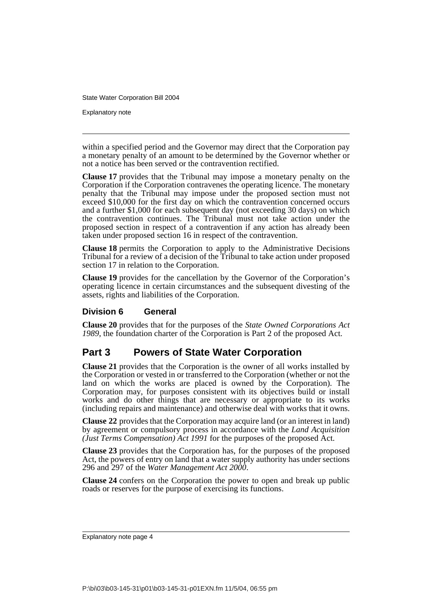Explanatory note

within a specified period and the Governor may direct that the Corporation pay a monetary penalty of an amount to be determined by the Governor whether or not a notice has been served or the contravention rectified.

**Clause 17** provides that the Tribunal may impose a monetary penalty on the Corporation if the Corporation contravenes the operating licence. The monetary penalty that the Tribunal may impose under the proposed section must not exceed \$10,000 for the first day on which the contravention concerned occurs and a further \$1,000 for each subsequent day (not exceeding 30 days) on which the contravention continues. The Tribunal must not take action under the proposed section in respect of a contravention if any action has already been taken under proposed section 16 in respect of the contravention.

**Clause 18** permits the Corporation to apply to the Administrative Decisions Tribunal for a review of a decision of the Tribunal to take action under proposed section 17 in relation to the Corporation.

**Clause 19** provides for the cancellation by the Governor of the Corporation's operating licence in certain circumstances and the subsequent divesting of the assets, rights and liabilities of the Corporation.

### **Division 6 General**

**Clause 20** provides that for the purposes of the *State Owned Corporations Act 1989*, the foundation charter of the Corporation is Part 2 of the proposed Act.

## **Part 3 Powers of State Water Corporation**

**Clause 21** provides that the Corporation is the owner of all works installed by the Corporation or vested in or transferred to the Corporation (whether or not the land on which the works are placed is owned by the Corporation). The Corporation may, for purposes consistent with its objectives build or install works and do other things that are necessary or appropriate to its works (including repairs and maintenance) and otherwise deal with works that it owns.

**Clause 22** provides that the Corporation may acquire land (or an interest in land) by agreement or compulsory process in accordance with the *Land Acquisition (Just Terms Compensation) Act 1991* for the purposes of the proposed Act.

**Clause 23** provides that the Corporation has, for the purposes of the proposed Act, the powers of entry on land that a water supply authority has under sections 296 and 297 of the *Water Management Act 2000*.

**Clause 24** confers on the Corporation the power to open and break up public roads or reserves for the purpose of exercising its functions.

Explanatory note page 4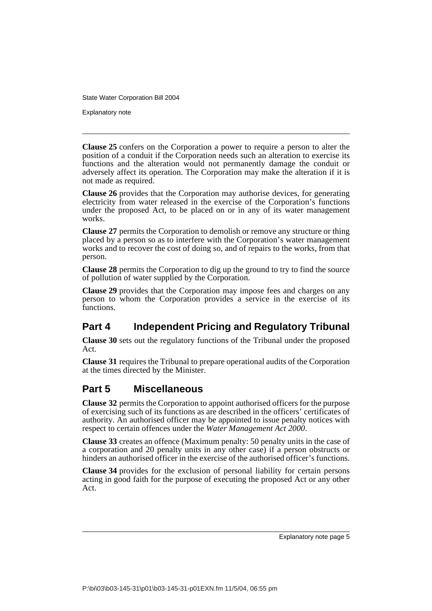Explanatory note

**Clause 25** confers on the Corporation a power to require a person to alter the position of a conduit if the Corporation needs such an alteration to exercise its functions and the alteration would not permanently damage the conduit or adversely affect its operation. The Corporation may make the alteration if it is not made as required.

**Clause 26** provides that the Corporation may authorise devices, for generating electricity from water released in the exercise of the Corporation's functions under the proposed Act, to be placed on or in any of its water management works.

**Clause 27** permits the Corporation to demolish or remove any structure or thing placed by a person so as to interfere with the Corporation's water management works and to recover the cost of doing so, and of repairs to the works, from that person.

**Clause 28** permits the Corporation to dig up the ground to try to find the source of pollution of water supplied by the Corporation.

**Clause 29** provides that the Corporation may impose fees and charges on any person to whom the Corporation provides a service in the exercise of its functions.

## **Part 4 Independent Pricing and Regulatory Tribunal**

**Clause 30** sets out the regulatory functions of the Tribunal under the proposed Act.

**Clause 31** requires the Tribunal to prepare operational audits of the Corporation at the times directed by the Minister.

## **Part 5 Miscellaneous**

**Clause 32** permits the Corporation to appoint authorised officers for the purpose of exercising such of its functions as are described in the officers' certificates of authority. An authorised officer may be appointed to issue penalty notices with respect to certain offences under the *Water Management Act 2000*.

**Clause 33** creates an offence (Maximum penalty: 50 penalty units in the case of a corporation and 20 penalty units in any other case) if a person obstructs or hinders an authorised officer in the exercise of the authorised officer's functions.

**Clause 34** provides for the exclusion of personal liability for certain persons acting in good faith for the purpose of executing the proposed Act or any other Act.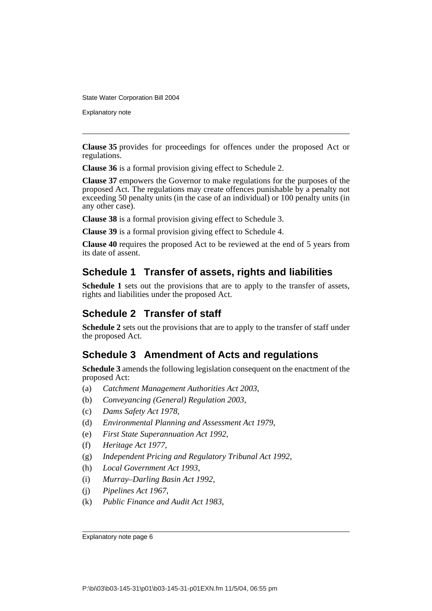Explanatory note

**Clause 35** provides for proceedings for offences under the proposed Act or regulations.

**Clause 36** is a formal provision giving effect to Schedule 2.

**Clause 37** empowers the Governor to make regulations for the purposes of the proposed Act. The regulations may create offences punishable by a penalty not exceeding 50 penalty units (in the case of an individual) or 100 penalty units (in any other case).

**Clause 38** is a formal provision giving effect to Schedule 3.

**Clause 39** is a formal provision giving effect to Schedule 4.

**Clause 40** requires the proposed Act to be reviewed at the end of 5 years from its date of assent.

## **Schedule 1 Transfer of assets, rights and liabilities**

**Schedule 1** sets out the provisions that are to apply to the transfer of assets, rights and liabilities under the proposed Act.

## **Schedule 2 Transfer of staff**

**Schedule 2** sets out the provisions that are to apply to the transfer of staff under the proposed Act.

## **Schedule 3 Amendment of Acts and regulations**

**Schedule 3** amends the following legislation consequent on the enactment of the proposed Act:

- (a) *Catchment Management Authorities Act 2003*,
- (b) *Conveyancing (General) Regulation 2003*,
- (c) *Dams Safety Act 1978*,
- (d) *Environmental Planning and Assessment Act 1979*,
- (e) *First State Superannuation Act 1992*,
- (f) *Heritage Act 1977*,
- (g) *Independent Pricing and Regulatory Tribunal Act 1992*,
- (h) *Local Government Act 1993*,
- (i) *Murray–Darling Basin Act 1992*,
- (j) *Pipelines Act 1967*,
- (k) *Public Finance and Audit Act 1983*,

Explanatory note page 6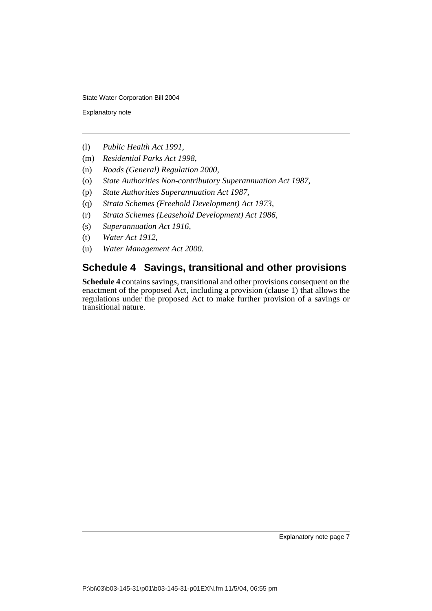Explanatory note

- (l) *Public Health Act 1991*,
- (m) *Residential Parks Act 1998*,
- (n) *Roads (General) Regulation 2000*,
- (o) *State Authorities Non-contributory Superannuation Act 1987*,
- (p) *State Authorities Superannuation Act 1987*,
- (q) *Strata Schemes (Freehold Development) Act 1973*,
- (r) *Strata Schemes (Leasehold Development) Act 1986*,
- (s) *Superannuation Act 1916*,
- (t) *Water Act 1912*,
- (u) *Water Management Act 2000*.

## **Schedule 4 Savings, transitional and other provisions**

**Schedule 4** contains savings, transitional and other provisions consequent on the enactment of the proposed Act, including a provision (clause 1) that allows the regulations under the proposed Act to make further provision of a savings or transitional nature.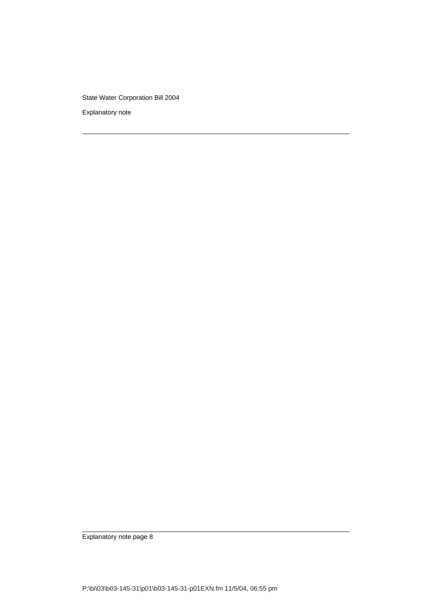Explanatory note

Explanatory note page 8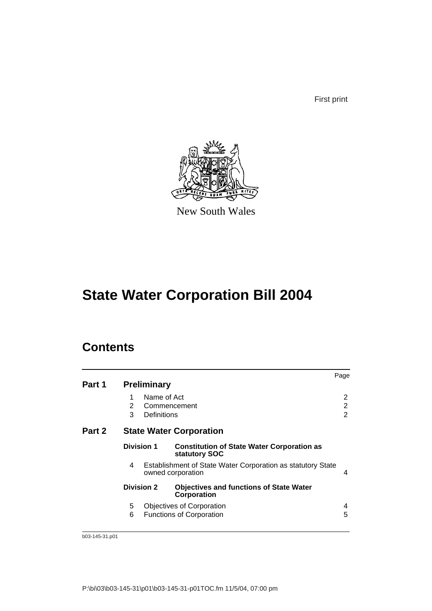First print



New South Wales

# **State Water Corporation Bill 2004**

# **Contents**

|        |             |                                            |                                                                                  | Page                     |
|--------|-------------|--------------------------------------------|----------------------------------------------------------------------------------|--------------------------|
| Part 1 |             | <b>Preliminary</b>                         |                                                                                  |                          |
|        | 1<br>2<br>3 | Name of Act<br>Commencement<br>Definitions |                                                                                  | 2<br>2<br>$\overline{2}$ |
| Part 2 |             |                                            | <b>State Water Corporation</b>                                                   |                          |
|        |             | <b>Division 1</b>                          | <b>Constitution of State Water Corporation as</b><br>statutory SOC               |                          |
|        | 4           |                                            | Establishment of State Water Corporation as statutory State<br>owned corporation | 4                        |
|        |             | <b>Division 2</b>                          | <b>Objectives and functions of State Water</b><br>Corporation                    |                          |
|        | 5<br>6      |                                            | Objectives of Corporation<br><b>Functions of Corporation</b>                     | 4<br>5                   |
|        |             |                                            |                                                                                  |                          |

b03-145-31.p01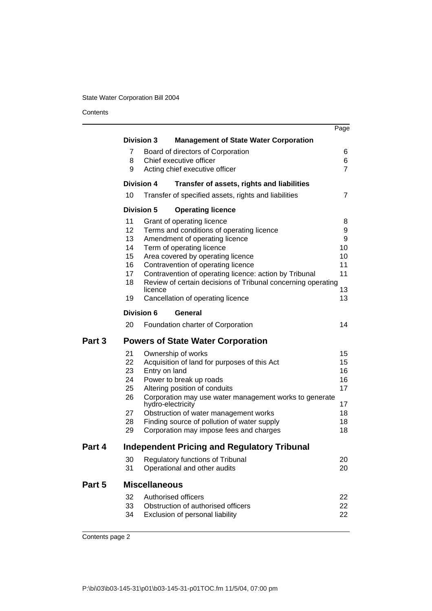**Contents** 

|        |                 |                      |                                                              | Page           |
|--------|-----------------|----------------------|--------------------------------------------------------------|----------------|
|        |                 | <b>Division 3</b>    | <b>Management of State Water Corporation</b>                 |                |
|        | 7               |                      | Board of directors of Corporation                            | 6              |
|        | 8               |                      | Chief executive officer                                      | 6              |
|        | 9               |                      | Acting chief executive officer                               | $\overline{7}$ |
|        |                 | <b>Division 4</b>    | Transfer of assets, rights and liabilities                   |                |
|        | 10              |                      | Transfer of specified assets, rights and liabilities         | 7              |
|        |                 | <b>Division 5</b>    | <b>Operating licence</b>                                     |                |
|        | 11              |                      | Grant of operating licence                                   | 8              |
|        | 12 <sup>2</sup> |                      | Terms and conditions of operating licence                    | 9              |
|        | 13              |                      | Amendment of operating licence                               | 9              |
|        | 14              |                      | Term of operating licence                                    | 10             |
|        | 15              |                      | Area covered by operating licence                            | 10             |
|        | 16              |                      | Contravention of operating licence                           | 11             |
|        | 17              |                      | Contravention of operating licence: action by Tribunal       | 11             |
|        | 18              | licence              | Review of certain decisions of Tribunal concerning operating | 13             |
|        | 19              |                      | Cancellation of operating licence                            | 13             |
|        |                 | <b>Division 6</b>    | General                                                      |                |
|        | 20              |                      | Foundation charter of Corporation                            | 14             |
| Part 3 |                 |                      | <b>Powers of State Water Corporation</b>                     |                |
|        | 21              |                      | Ownership of works                                           | 15             |
|        | 22              |                      | Acquisition of land for purposes of this Act                 | 15             |
|        | 23              | Entry on land        |                                                              | 16             |
|        | 24              |                      | Power to break up roads                                      | 16             |
|        | 25              |                      | Altering position of conduits                                | 17             |
|        | 26              | hydro-electricity    | Corporation may use water management works to generate       | 17             |
|        | 27              |                      | Obstruction of water management works                        | 18             |
|        | 28              |                      | Finding source of pollution of water supply                  | 18             |
|        | 29              |                      | Corporation may impose fees and charges                      | 18             |
| Part 4 |                 |                      | <b>Independent Pricing and Regulatory Tribunal</b>           |                |
|        | 30              |                      | Regulatory functions of Tribunal                             | 20             |
|        | 31              |                      | Operational and other audits                                 | 20             |
| Part 5 |                 | <b>Miscellaneous</b> |                                                              |                |
|        | 32              |                      | Authorised officers                                          | 22             |
|        | 33              |                      | Obstruction of authorised officers                           | 22             |
|        | 34              |                      | Exclusion of personal liability                              | 22             |
|        |                 |                      |                                                              |                |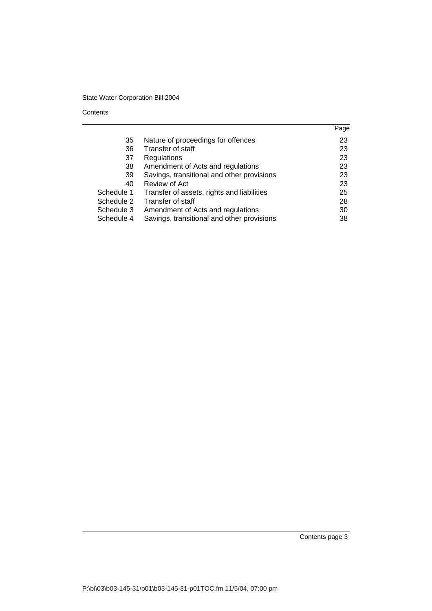#### **Contents**

|            |                                            | Page |
|------------|--------------------------------------------|------|
| 35         | Nature of proceedings for offences         | 23   |
| 36         | Transfer of staff                          | 23   |
| 37         | Regulations                                | 23   |
| 38         | Amendment of Acts and regulations          | 23   |
| 39         | Savings, transitional and other provisions | 23   |
| 40         | Review of Act                              | 23   |
| Schedule 1 | Transfer of assets, rights and liabilities | 25   |
| Schedule 2 | Transfer of staff                          | 28   |
| Schedule 3 | Amendment of Acts and regulations          | 30   |
| Schedule 4 | Savings, transitional and other provisions | 38   |
|            |                                            |      |

Contents page 3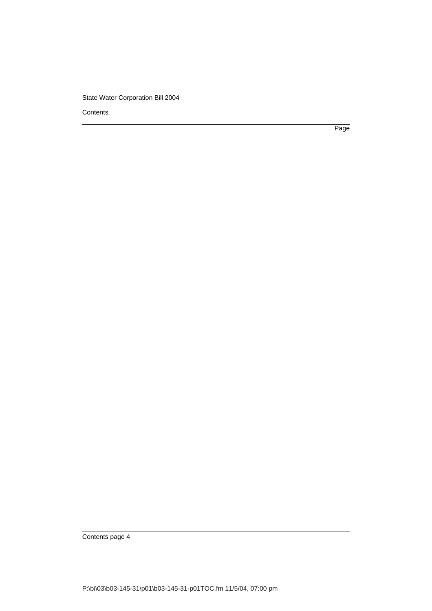**Contents** 

Page

Contents page 4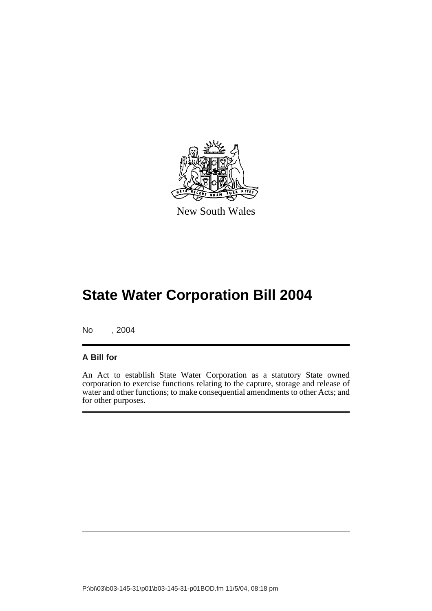

New South Wales

# **State Water Corporation Bill 2004**

No , 2004

### **A Bill for**

An Act to establish State Water Corporation as a statutory State owned corporation to exercise functions relating to the capture, storage and release of water and other functions; to make consequential amendments to other Acts; and for other purposes.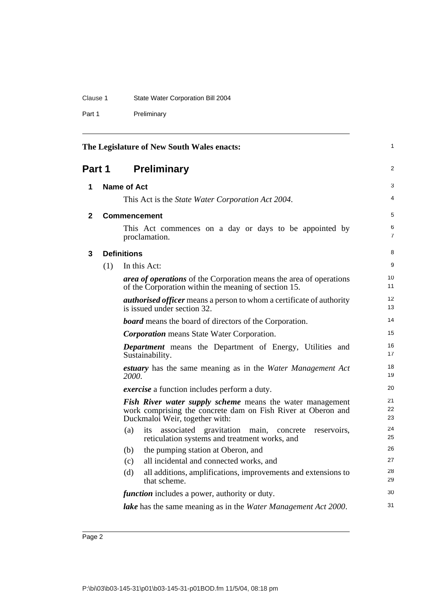#### Clause 1 State Water Corporation Bill 2004

Part 1 Preliminary

<span id="page-13-3"></span><span id="page-13-2"></span><span id="page-13-1"></span><span id="page-13-0"></span>

| The Legislature of New South Wales enacts: |                                                                                      |                             |                                                                                                                                                                    |                     |  |
|--------------------------------------------|--------------------------------------------------------------------------------------|-----------------------------|--------------------------------------------------------------------------------------------------------------------------------------------------------------------|---------------------|--|
| Part 1                                     |                                                                                      | <b>Preliminary</b>          |                                                                                                                                                                    | 2                   |  |
| 1                                          | Name of Act                                                                          |                             |                                                                                                                                                                    | 3                   |  |
|                                            |                                                                                      |                             | This Act is the <i>State Water Corporation Act 2004</i> .                                                                                                          | 4                   |  |
| $\mathbf{2}$                               |                                                                                      | <b>Commencement</b>         |                                                                                                                                                                    | 5                   |  |
|                                            |                                                                                      | proclamation.               | This Act commences on a day or days to be appointed by                                                                                                             | 6<br>$\overline{7}$ |  |
| 3                                          |                                                                                      | <b>Definitions</b>          |                                                                                                                                                                    | 8                   |  |
|                                            | (1)                                                                                  | In this Act:                |                                                                                                                                                                    | 9                   |  |
|                                            |                                                                                      |                             | area of operations of the Corporation means the area of operations<br>of the Corporation within the meaning of section 15.                                         | 10<br>11            |  |
|                                            |                                                                                      | is issued under section 32. | <i>authorised officer</i> means a person to whom a certificate of authority                                                                                        | 12<br>13            |  |
|                                            |                                                                                      |                             | <b>board</b> means the board of directors of the Corporation.                                                                                                      | 14                  |  |
|                                            |                                                                                      |                             | <b>Corporation</b> means State Water Corporation.                                                                                                                  | 15                  |  |
|                                            |                                                                                      | Sustainability.             | <b>Department</b> means the Department of Energy, Utilities and                                                                                                    | 16<br>17            |  |
|                                            |                                                                                      | 2000.                       | <i>estuary</i> has the same meaning as in the <i>Water Management Act</i>                                                                                          | 18<br>19            |  |
|                                            |                                                                                      |                             | <i>exercise</i> a function includes perform a duty.                                                                                                                | 20                  |  |
|                                            |                                                                                      |                             | <b>Fish River water supply scheme</b> means the water management<br>work comprising the concrete dam on Fish River at Oberon and<br>Duckmaloi Weir, together with: | 21<br>22<br>23      |  |
|                                            |                                                                                      | (a)<br>its                  | associated gravitation<br>main,<br>concrete<br>reservoirs,<br>reticulation systems and treatment works, and                                                        | 24<br>25            |  |
|                                            |                                                                                      | (b)                         | the pumping station at Oberon, and                                                                                                                                 | 26                  |  |
|                                            |                                                                                      | (c)                         | all incidental and connected works, and                                                                                                                            | 27                  |  |
|                                            | (d)<br>all additions, amplifications, improvements and extensions to<br>that scheme. |                             |                                                                                                                                                                    |                     |  |
|                                            |                                                                                      |                             | <i>function</i> includes a power, authority or duty.                                                                                                               | 30                  |  |
|                                            |                                                                                      |                             | lake has the same meaning as in the Water Management Act 2000.                                                                                                     | 31                  |  |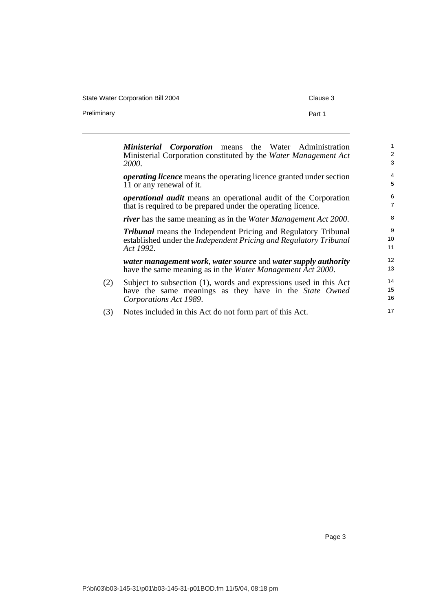State Water Corporation Bill 2004 Clause 3

Preliminary **Part 1** 

|     | <b>Ministerial Corporation</b> means the Water Administration<br>Ministerial Corporation constituted by the Water Management Act<br><i>2000.</i>        | 1<br>$\overline{2}$<br>3 |
|-----|---------------------------------------------------------------------------------------------------------------------------------------------------------|--------------------------|
|     | <i>operating licence</i> means the operating licence granted under section<br>11 or any renewal of it.                                                  | 4<br>5                   |
|     | <i>operational audit</i> means an operational audit of the Corporation<br>that is required to be prepared under the operating licence.                  | 6<br>$\overline{7}$      |
|     | <i>river</i> has the same meaning as in the <i>Water Management Act 2000</i> .                                                                          | 8                        |
|     | <b>Tribunal</b> means the Independent Pricing and Regulatory Tribunal<br>established under the Independent Pricing and Regulatory Tribunal<br>Act 1992. | 9<br>10<br>11            |
|     | water management work, water source and water supply authority<br>have the same meaning as in the Water Management Act 2000.                            | 12<br>13                 |
| (2) | Subject to subsection (1), words and expressions used in this Act<br>have the same meanings as they have in the State Owned<br>Corporations Act 1989.   | 14<br>15<br>16           |
| (3) | Notes included in this Act do not form part of this Act.                                                                                                | 17                       |
|     |                                                                                                                                                         |                          |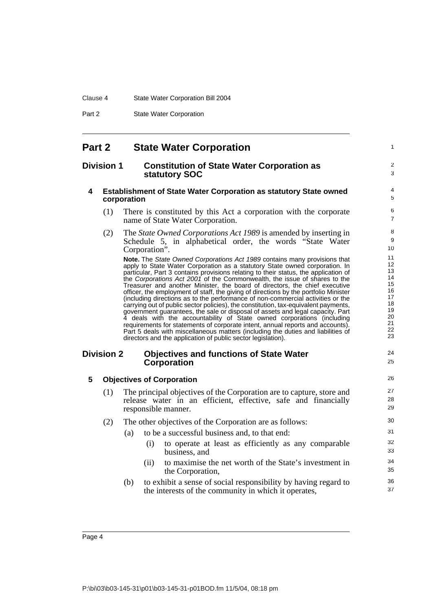#### Clause 4 State Water Corporation Bill 2004

Part 2 **State Water Corporation** 

## <span id="page-15-0"></span>**Part 2 State Water Corporation**

#### <span id="page-15-1"></span>**Division 1 Constitution of State Water Corporation as statutory SOC**

#### <span id="page-15-2"></span>**4 Establishment of State Water Corporation as statutory State owned corporation**

(1) There is constituted by this Act a corporation with the corporate name of State Water Corporation.

1

 $\overline{2}$ 3

24 25

(2) The *State Owned Corporations Act 1989* is amended by inserting in Schedule 5, in alphabetical order, the words "State Water Corporation".

**Note.** The *State Owned Corporations Act 1989* contains many provisions that apply to State Water Corporation as a statutory State owned corporation. In particular, Part 3 contains provisions relating to their status, the application of the *Corporations Act 2001* of the Commonwealth, the issue of shares to the Treasurer and another Minister, the board of directors, the chief executive officer, the employment of staff, the giving of directions by the portfolio Minister (including directions as to the performance of non-commercial activities or the carrying out of public sector policies), the constitution, tax-equivalent payments, government guarantees, the sale or disposal of assets and legal capacity. Part 4 deals with the accountability of State owned corporations (including requirements for statements of corporate intent, annual reports and accounts). Part 5 deals with miscellaneous matters (including the duties and liabilities of directors and the application of public sector legislation).

#### <span id="page-15-3"></span>**Division 2 Objectives and functions of State Water Corporation**

#### <span id="page-15-4"></span>**5 Objectives of Corporation**

- (1) The principal objectives of the Corporation are to capture, store and release water in an efficient, effective, safe and financially responsible manner.
- (2) The other objectives of the Corporation are as follows:
	- (a) to be a successful business and, to that end:
		- (i) to operate at least as efficiently as any comparable business, and
		- (ii) to maximise the net worth of the State's investment in the Corporation,
	- (b) to exhibit a sense of social responsibility by having regard to the interests of the community in which it operates,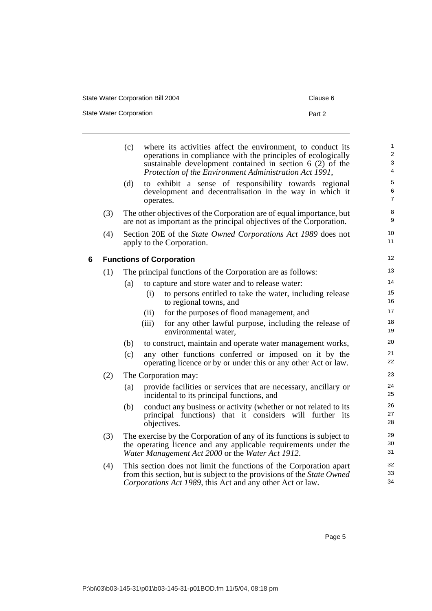<span id="page-16-0"></span>

|   |     | (c) | where its activities affect the environment, to conduct its<br>operations in compliance with the principles of ecologically<br>sustainable development contained in section 6 (2) of the<br>Protection of the Environment Administration Act 1991, |
|---|-----|-----|----------------------------------------------------------------------------------------------------------------------------------------------------------------------------------------------------------------------------------------------------|
|   |     | (d) | to exhibit a sense of responsibility towards regional<br>development and decentralisation in the way in which it<br>operates.                                                                                                                      |
|   | (3) |     | The other objectives of the Corporation are of equal importance, but<br>are not as important as the principal objectives of the Corporation.                                                                                                       |
|   | (4) |     | Section 20E of the State Owned Corporations Act 1989 does not<br>apply to the Corporation.                                                                                                                                                         |
| 6 |     |     | <b>Functions of Corporation</b>                                                                                                                                                                                                                    |
|   | (1) |     | The principal functions of the Corporation are as follows:                                                                                                                                                                                         |
|   |     | (a) | to capture and store water and to release water:                                                                                                                                                                                                   |
|   |     |     | (i)<br>to persons entitled to take the water, including release<br>to regional towns, and                                                                                                                                                          |
|   |     |     | for the purposes of flood management, and<br>(ii)                                                                                                                                                                                                  |
|   |     |     | for any other lawful purpose, including the release of<br>(iii)<br>environmental water,                                                                                                                                                            |
|   |     | (b) | to construct, maintain and operate water management works,                                                                                                                                                                                         |
|   |     | (c) | any other functions conferred or imposed on it by the<br>operating licence or by or under this or any other Act or law.                                                                                                                            |
|   | (2) |     | The Corporation may:                                                                                                                                                                                                                               |
|   |     | (a) | provide facilities or services that are necessary, ancillary or<br>incidental to its principal functions, and                                                                                                                                      |
|   |     | (b) | conduct any business or activity (whether or not related to its<br>principal functions) that it considers will further its<br>objectives.                                                                                                          |
|   |     |     |                                                                                                                                                                                                                                                    |

State Water Corporation **Part 2** 

- (3) The exercise by the Corporation of any of its functions is subject to the operating licence and any applicable requirements under the *Water Management Act 2000* or the *Water Act 1912*.
- (4) This section does not limit the functions of the Corporation apart from this section, but is subject to the provisions of the *State Owned Corporations Act 1989*, this Act and any other Act or law.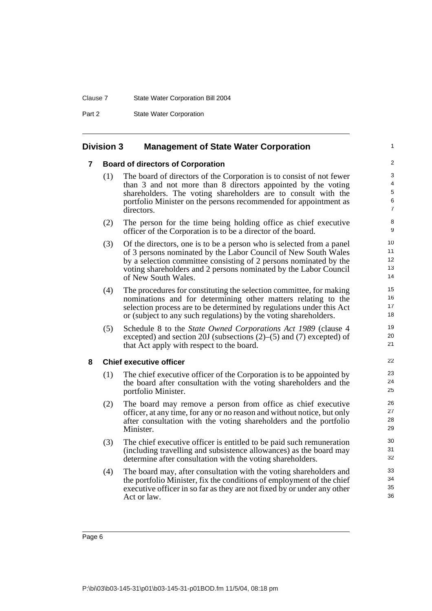#### Clause 7 State Water Corporation Bill 2004

Part 2 **State Water Corporation** 

#### <span id="page-17-1"></span><span id="page-17-0"></span>**Division 3 Management of State Water Corporation**

#### **7 Board of directors of Corporation**

(1) The board of directors of the Corporation is to consist of not fewer than 3 and not more than 8 directors appointed by the voting shareholders. The voting shareholders are to consult with the portfolio Minister on the persons recommended for appointment as directors.

1

- (2) The person for the time being holding office as chief executive officer of the Corporation is to be a director of the board.
- (3) Of the directors, one is to be a person who is selected from a panel of 3 persons nominated by the Labor Council of New South Wales by a selection committee consisting of 2 persons nominated by the voting shareholders and 2 persons nominated by the Labor Council of New South Wales.
- (4) The procedures for constituting the selection committee, for making nominations and for determining other matters relating to the selection process are to be determined by regulations under this Act or (subject to any such regulations) by the voting shareholders.
- (5) Schedule 8 to the *State Owned Corporations Act 1989* (clause 4 excepted) and section 20J (subsections (2)–(5) and (7) excepted) of that Act apply with respect to the board.

#### <span id="page-17-2"></span>**8 Chief executive officer**

- (1) The chief executive officer of the Corporation is to be appointed by the board after consultation with the voting shareholders and the portfolio Minister.
- (2) The board may remove a person from office as chief executive officer, at any time, for any or no reason and without notice, but only after consultation with the voting shareholders and the portfolio Minister.
- (3) The chief executive officer is entitled to be paid such remuneration (including travelling and subsistence allowances) as the board may determine after consultation with the voting shareholders.
- (4) The board may, after consultation with the voting shareholders and the portfolio Minister, fix the conditions of employment of the chief executive officer in so far as they are not fixed by or under any other Act or law.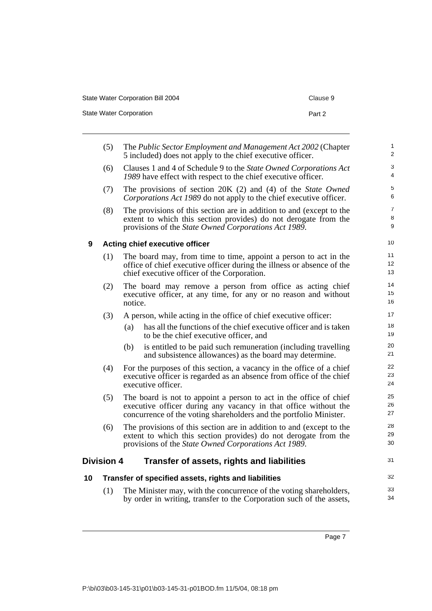<span id="page-18-2"></span><span id="page-18-1"></span><span id="page-18-0"></span>

|    | (5)               | The Public Sector Employment and Management Act 2002 (Chapter<br>5 included) does not apply to the chief executive officer.                                                                                 | 1<br>2                   |
|----|-------------------|-------------------------------------------------------------------------------------------------------------------------------------------------------------------------------------------------------------|--------------------------|
|    | (6)               | Clauses 1 and 4 of Schedule 9 to the State Owned Corporations Act<br>1989 have effect with respect to the chief executive officer.                                                                          | 3<br>4                   |
|    | (7)               | The provisions of section 20K (2) and (4) of the State Owned<br>Corporations Act 1989 do not apply to the chief executive officer.                                                                          | 5<br>6                   |
|    | (8)               | The provisions of this section are in addition to and (except to the<br>extent to which this section provides) do not derogate from the<br>provisions of the State Owned Corporations Act 1989.             | $\overline{7}$<br>8<br>9 |
| 9  |                   | Acting chief executive officer                                                                                                                                                                              | 10                       |
|    | (1)               | The board may, from time to time, appoint a person to act in the<br>office of chief executive officer during the illness or absence of the<br>chief executive officer of the Corporation.                   | 11<br>12<br>13           |
|    | (2)               | The board may remove a person from office as acting chief<br>executive officer, at any time, for any or no reason and without<br>notice.                                                                    | 14<br>15<br>16           |
|    | (3)               | A person, while acting in the office of chief executive officer:                                                                                                                                            | 17                       |
|    |                   | has all the functions of the chief executive officer and is taken<br>(a)<br>to be the chief executive officer, and                                                                                          | 18<br>19                 |
|    |                   | is entitled to be paid such remuneration (including travelling<br>(b)<br>and subsistence allowances) as the board may determine.                                                                            | 20<br>21                 |
|    | (4)               | For the purposes of this section, a vacancy in the office of a chief<br>executive officer is regarded as an absence from office of the chief<br>executive officer.                                          | 22<br>23<br>24           |
|    | (5)               | The board is not to appoint a person to act in the office of chief<br>executive officer during any vacancy in that office without the<br>concurrence of the voting shareholders and the portfolio Minister. | 25<br>26<br>27           |
|    | (6)               | The provisions of this section are in addition to and (except to the<br>extent to which this section provides) do not derogate from the<br>provisions of the State Owned Corporations Act 1989.             | 28<br>29<br>30           |
|    | <b>Division 4</b> | Transfer of assets, rights and liabilities                                                                                                                                                                  | 31                       |
| 10 |                   | Transfer of specified assets, rights and liabilities                                                                                                                                                        | 32                       |
|    | (1)               | The Minister may, with the concurrence of the voting shareholders,<br>by order in writing, transfer to the Corporation such of the assets,                                                                  | 33<br>34                 |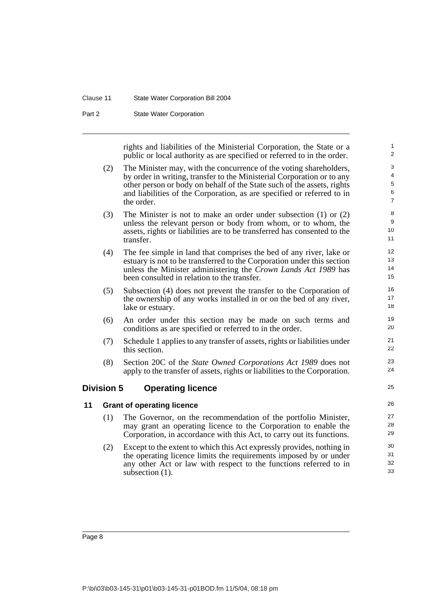#### Clause 11 State Water Corporation Bill 2004

Part 2 **State Water Corporation** 

rights and liabilities of the Ministerial Corporation, the State or a public or local authority as are specified or referred to in the order.

25

- (2) The Minister may, with the concurrence of the voting shareholders, by order in writing, transfer to the Ministerial Corporation or to any other person or body on behalf of the State such of the assets, rights and liabilities of the Corporation, as are specified or referred to in the order.
- (3) The Minister is not to make an order under subsection (1) or (2) unless the relevant person or body from whom, or to whom, the assets, rights or liabilities are to be transferred has consented to the transfer.
- (4) The fee simple in land that comprises the bed of any river, lake or estuary is not to be transferred to the Corporation under this section unless the Minister administering the *Crown Lands Act 1989* has been consulted in relation to the transfer.
- (5) Subsection (4) does not prevent the transfer to the Corporation of the ownership of any works installed in or on the bed of any river, lake or estuary.
- (6) An order under this section may be made on such terms and conditions as are specified or referred to in the order.
- (7) Schedule 1 applies to any transfer of assets, rights or liabilities under this section.
- (8) Section 20C of the *State Owned Corporations Act 1989* does not apply to the transfer of assets, rights or liabilities to the Corporation.

#### <span id="page-19-0"></span>**Division 5 Operating licence**

#### <span id="page-19-1"></span>**11 Grant of operating licence**

- (1) The Governor, on the recommendation of the portfolio Minister, may grant an operating licence to the Corporation to enable the Corporation, in accordance with this Act, to carry out its functions.
- (2) Except to the extent to which this Act expressly provides, nothing in the operating licence limits the requirements imposed by or under any other Act or law with respect to the functions referred to in subsection  $(1)$ .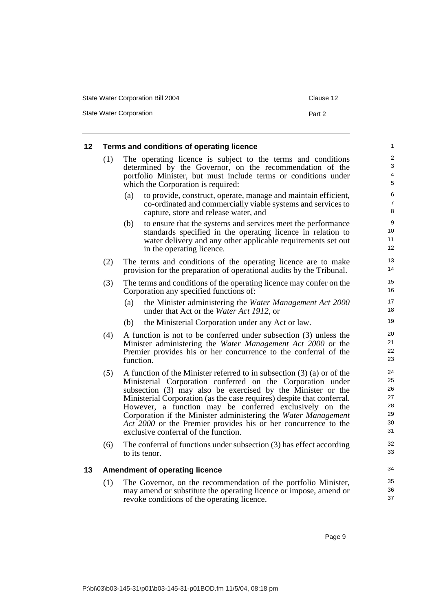| State Water Corporation Bill 2004 |  |
|-----------------------------------|--|
|-----------------------------------|--|

State Water Corporation **Part 2** 

#### <span id="page-20-0"></span>**12 Terms and conditions of operating licence** (1) The operating licence is subject to the terms and conditions determined by the Governor, on the recommendation of the portfolio Minister, but must include terms or conditions under which the Corporation is required: (a) to provide, construct, operate, manage and maintain efficient, co-ordinated and commercially viable systems and services to capture, store and release water, and (b) to ensure that the systems and services meet the performance standards specified in the operating licence in relation to water delivery and any other applicable requirements set out in the operating licence. (2) The terms and conditions of the operating licence are to make provision for the preparation of operational audits by the Tribunal. (3) The terms and conditions of the operating licence may confer on the Corporation any specified functions of: (a) the Minister administering the *Water Management Act 2000* under that Act or the *Water Act 1912*, or (b) the Ministerial Corporation under any Act or law. (4) A function is not to be conferred under subsection (3) unless the Minister administering the *Water Management Act 2000* or the Premier provides his or her concurrence to the conferral of the function. (5) A function of the Minister referred to in subsection (3) (a) or of the Ministerial Corporation conferred on the Corporation under subsection (3) may also be exercised by the Minister or the Ministerial Corporation (as the case requires) despite that conferral. However, a function may be conferred exclusively on the Corporation if the Minister administering the *Water Management Act 2000* or the Premier provides his or her concurrence to the exclusive conferral of the function. (6) The conferral of functions under subsection (3) has effect according to its tenor. **13 Amendment of operating licence** (1) The Governor, on the recommendation of the portfolio Minister, 1  $\overline{2}$ 3 4 5 6 7 8  $\mathsf{o}$ 10 11 12 13 14 15 16 17 18 19 20 21 22 23 24 25 26 27 28 29 30 31 32 33 34 35

<span id="page-20-1"></span>may amend or substitute the operating licence or impose, amend or

36 37

revoke conditions of the operating licence.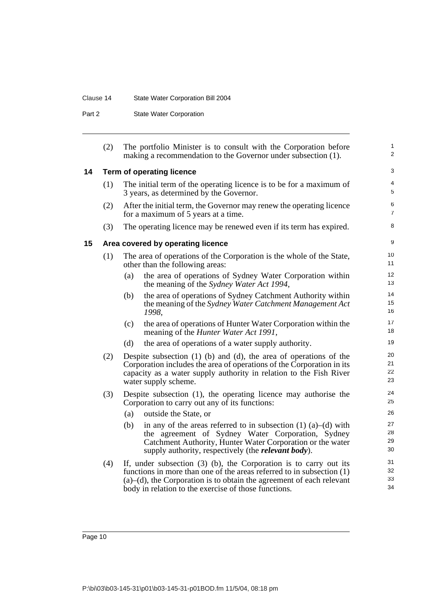#### Clause 14 State Water Corporation Bill 2004

Part 2 **State Water Corporation** 

<span id="page-21-1"></span><span id="page-21-0"></span>

|    | (2) |     | The portfolio Minister is to consult with the Corporation before<br>making a recommendation to the Governor under subsection (1).                                                                                                                                                     | $\mathbf{1}$<br>2    |
|----|-----|-----|---------------------------------------------------------------------------------------------------------------------------------------------------------------------------------------------------------------------------------------------------------------------------------------|----------------------|
| 14 |     |     | <b>Term of operating licence</b>                                                                                                                                                                                                                                                      | 3                    |
|    | (1) |     | The initial term of the operating licence is to be for a maximum of<br>3 years, as determined by the Governor.                                                                                                                                                                        | 4<br>5               |
|    | (2) |     | After the initial term, the Governor may renew the operating licence<br>for a maximum of 5 years at a time.                                                                                                                                                                           | 6<br>$\overline{7}$  |
|    | (3) |     | The operating licence may be renewed even if its term has expired.                                                                                                                                                                                                                    | 8                    |
| 15 |     |     | Area covered by operating licence                                                                                                                                                                                                                                                     | 9                    |
|    | (1) |     | The area of operations of the Corporation is the whole of the State,<br>other than the following areas:                                                                                                                                                                               | 10<br>11             |
|    |     | (a) | the area of operations of Sydney Water Corporation within<br>the meaning of the Sydney Water Act 1994,                                                                                                                                                                                | 12<br>13             |
|    |     | (b) | the area of operations of Sydney Catchment Authority within<br>the meaning of the Sydney Water Catchment Management Act<br>1998,                                                                                                                                                      | 14<br>15<br>16       |
|    |     | (c) | the area of operations of Hunter Water Corporation within the<br>meaning of the <i>Hunter Water Act 1991</i> ,                                                                                                                                                                        | 17<br>18             |
|    |     | (d) | the area of operations of a water supply authority.                                                                                                                                                                                                                                   | 19                   |
|    | (2) |     | Despite subsection $(1)$ $(b)$ and $(d)$ , the area of operations of the<br>Corporation includes the area of operations of the Corporation in its<br>capacity as a water supply authority in relation to the Fish River<br>water supply scheme.                                       | 20<br>21<br>22<br>23 |
|    | (3) |     | Despite subsection (1), the operating licence may authorise the<br>Corporation to carry out any of its functions:                                                                                                                                                                     | 24<br>25             |
|    |     | (a) | outside the State, or                                                                                                                                                                                                                                                                 | 26                   |
|    |     | (b) | in any of the areas referred to in subsection $(1)$ $(a)$ – $(d)$ with<br>the agreement of Sydney Water Corporation, Sydney<br>Catchment Authority, Hunter Water Corporation or the water<br>supply authority, respectively (the <i>relevant body</i> ).                              | 27<br>28<br>29<br>30 |
|    | (4) |     | If, under subsection $(3)$ (b), the Corporation is to carry out its<br>functions in more than one of the areas referred to in subsection $(1)$<br>$(a)$ – $(d)$ , the Corporation is to obtain the agreement of each relevant<br>body in relation to the exercise of those functions. | 31<br>32<br>33<br>34 |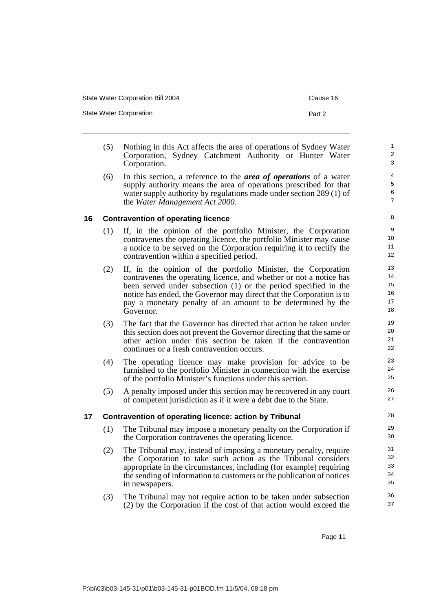State Water Corporation Bill 2004 Clause 16 State Water Corporation **Part 2** 

- (5) Nothing in this Act affects the area of operations of Sydney Water Corporation, Sydney Catchment Authority or Hunter Water Corporation.
- (6) In this section, a reference to the *area of operations* of a water supply authority means the area of operations prescribed for that water supply authority by regulations made under section 289 (1) of the *Water Management Act 2000*.

## <span id="page-22-0"></span>**16 Contravention of operating licence**

- (1) If, in the opinion of the portfolio Minister, the Corporation contravenes the operating licence, the portfolio Minister may cause a notice to be served on the Corporation requiring it to rectify the contravention within a specified period.
- (2) If, in the opinion of the portfolio Minister, the Corporation contravenes the operating licence, and whether or not a notice has been served under subsection (1) or the period specified in the notice has ended, the Governor may direct that the Corporation is to pay a monetary penalty of an amount to be determined by the Governor.
- (3) The fact that the Governor has directed that action be taken under this section does not prevent the Governor directing that the same or other action under this section be taken if the contravention continues or a fresh contravention occurs.
- (4) The operating licence may make provision for advice to be furnished to the portfolio Minister in connection with the exercise of the portfolio Minister's functions under this section.
- (5) A penalty imposed under this section may be recovered in any court of competent jurisdiction as if it were a debt due to the State.

## <span id="page-22-1"></span>**17 Contravention of operating licence: action by Tribunal**

- (1) The Tribunal may impose a monetary penalty on the Corporation if the Corporation contravenes the operating licence.
- (2) The Tribunal may, instead of imposing a monetary penalty, require the Corporation to take such action as the Tribunal considers appropriate in the circumstances, including (for example) requiring the sending of information to customers or the publication of notices in newspapers.
- (3) The Tribunal may not require action to be taken under subsection (2) by the Corporation if the cost of that action would exceed the

Page 11

7 8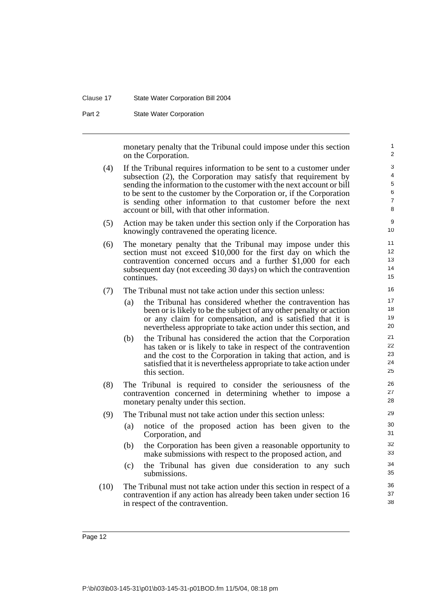#### Clause 17 State Water Corporation Bill 2004

Part 2 **State Water Corporation** 

monetary penalty that the Tribunal could impose under this section on the Corporation.

- (4) If the Tribunal requires information to be sent to a customer under subsection (2), the Corporation may satisfy that requirement by sending the information to the customer with the next account or bill to be sent to the customer by the Corporation or, if the Corporation is sending other information to that customer before the next account or bill, with that other information.
- (5) Action may be taken under this section only if the Corporation has knowingly contravened the operating licence.
- (6) The monetary penalty that the Tribunal may impose under this section must not exceed \$10,000 for the first day on which the contravention concerned occurs and a further \$1,000 for each subsequent day (not exceeding 30 days) on which the contravention continues.
- (7) The Tribunal must not take action under this section unless:
	- (a) the Tribunal has considered whether the contravention has been or is likely to be the subject of any other penalty or action or any claim for compensation, and is satisfied that it is nevertheless appropriate to take action under this section, and
	- (b) the Tribunal has considered the action that the Corporation has taken or is likely to take in respect of the contravention and the cost to the Corporation in taking that action, and is satisfied that it is nevertheless appropriate to take action under this section.
- (8) The Tribunal is required to consider the seriousness of the contravention concerned in determining whether to impose a monetary penalty under this section.
- (9) The Tribunal must not take action under this section unless:
	- (a) notice of the proposed action has been given to the Corporation, and
	- (b) the Corporation has been given a reasonable opportunity to make submissions with respect to the proposed action, and
	- (c) the Tribunal has given due consideration to any such submissions.
- (10) The Tribunal must not take action under this section in respect of a contravention if any action has already been taken under section 16 in respect of the contravention.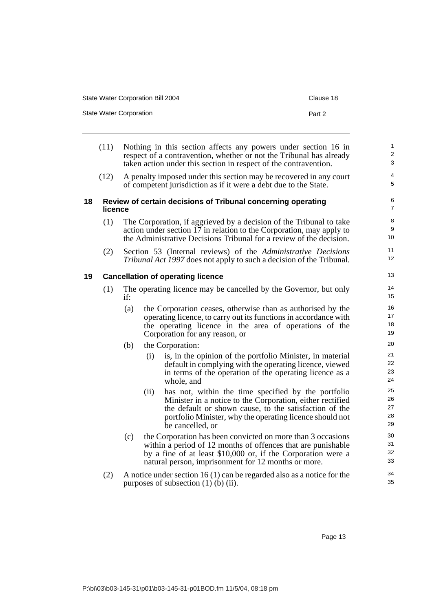| State Water Corporation Bill 2004 | Clause 18 |
|-----------------------------------|-----------|
| State Water Corporation           | Part 2    |

<span id="page-24-1"></span><span id="page-24-0"></span>

|    | (11)    |     |      | Nothing in this section affects any powers under section 16 in<br>respect of a contravention, whether or not the Tribunal has already<br>taken action under this section in respect of the contravention.                                                  | $\mathbf 1$<br>$\overline{2}$<br>3 |
|----|---------|-----|------|------------------------------------------------------------------------------------------------------------------------------------------------------------------------------------------------------------------------------------------------------------|------------------------------------|
|    | (12)    |     |      | A penalty imposed under this section may be recovered in any court<br>of competent jurisdiction as if it were a debt due to the State.                                                                                                                     | $\overline{\mathbf{4}}$<br>5       |
| 18 | licence |     |      | Review of certain decisions of Tribunal concerning operating                                                                                                                                                                                               | 6<br>$\overline{7}$                |
|    | (1)     |     |      | The Corporation, if aggrieved by a decision of the Tribunal to take<br>action under section 17 in relation to the Corporation, may apply to<br>the Administrative Decisions Tribunal for a review of the decision.                                         | 8<br>9<br>10                       |
|    | (2)     |     |      | Section 53 (Internal reviews) of the Administrative Decisions<br><i>Tribunal Act 1997</i> does not apply to such a decision of the Tribunal.                                                                                                               | 11<br>12                           |
| 19 |         |     |      | <b>Cancellation of operating licence</b>                                                                                                                                                                                                                   | 13                                 |
|    | (1)     | if: |      | The operating licence may be cancelled by the Governor, but only                                                                                                                                                                                           | 14<br>15                           |
|    |         | (a) |      | the Corporation ceases, otherwise than as authorised by the<br>operating licence, to carry out its functions in accordance with<br>the operating licence in the area of operations of the<br>Corporation for any reason, or                                | 16<br>17<br>18<br>19               |
|    |         | (b) |      | the Corporation:                                                                                                                                                                                                                                           | 20                                 |
|    |         |     | (i)  | is, in the opinion of the portfolio Minister, in material<br>default in complying with the operating licence, viewed<br>in terms of the operation of the operating licence as a<br>whole, and                                                              | 21<br>22<br>23<br>24               |
|    |         |     | (ii) | has not, within the time specified by the portfolio<br>Minister in a notice to the Corporation, either rectified<br>the default or shown cause, to the satisfaction of the<br>portfolio Minister, why the operating licence should not<br>be cancelled, or | 25<br>26<br>27<br>28<br>29         |
|    |         | (c) |      | the Corporation has been convicted on more than 3 occasions<br>within a period of 12 months of offences that are punishable<br>by a fine of at least \$10,000 or, if the Corporation were a<br>natural person, imprisonment for 12 months or more.         | 30<br>31<br>32<br>33               |
|    | (2)     |     |      | A notice under section 16 $(1)$ can be regarded also as a notice for the<br>purposes of subsection $(1)$ (b) $(ii)$ .                                                                                                                                      | 34<br>35                           |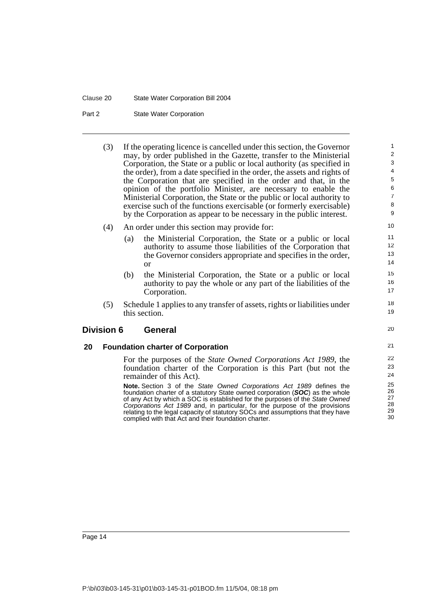#### Clause 20 State Water Corporation Bill 2004

Part 2 **State Water Corporation** 

(3) If the operating licence is cancelled under this section, the Governor may, by order published in the Gazette, transfer to the Ministerial Corporation, the State or a public or local authority (as specified in the order), from a date specified in the order, the assets and rights of the Corporation that are specified in the order and that, in the opinion of the portfolio Minister, are necessary to enable the Ministerial Corporation, the State or the public or local authority to exercise such of the functions exercisable (or formerly exercisable) by the Corporation as appear to be necessary in the public interest.

20

- (4) An order under this section may provide for:
	- (a) the Ministerial Corporation, the State or a public or local authority to assume those liabilities of the Corporation that the Governor considers appropriate and specifies in the order, or
	- (b) the Ministerial Corporation, the State or a public or local authority to pay the whole or any part of the liabilities of the Corporation.
- (5) Schedule 1 applies to any transfer of assets, rights or liabilities under this section.

#### <span id="page-25-0"></span>**Division 6 General**

#### <span id="page-25-1"></span>**20 Foundation charter of Corporation**

For the purposes of the *State Owned Corporations Act 1989*, the foundation charter of the Corporation is this Part (but not the remainder of this Act).

**Note.** Section 3 of the *State Owned Corporations Act 1989* defines the foundation charter of a statutory State owned corporation (*SOC*) as the whole of any Act by which a SOC is established for the purposes of the *State Owned Corporations Act 1989* and, in particular, for the purpose of the provisions relating to the legal capacity of statutory SOCs and assumptions that they have complied with that Act and their foundation charter.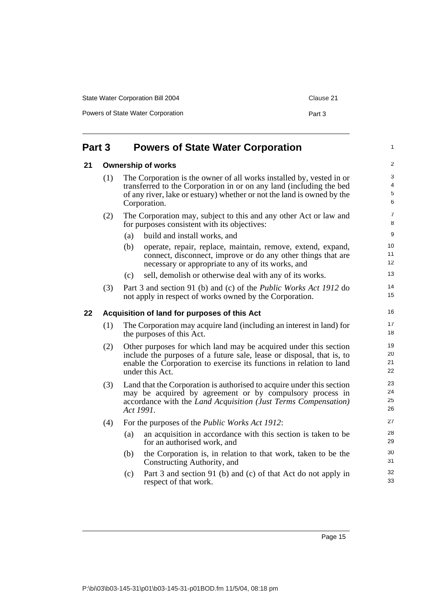Powers of State Water Corporation

| art. |  |
|------|--|
|      |  |

#### <span id="page-26-2"></span><span id="page-26-1"></span><span id="page-26-0"></span>**Part 3 Powers of State Water Corporation 21 Ownership of works** (1) The Corporation is the owner of all works installed by, vested in or transferred to the Corporation in or on any land (including the bed of any river, lake or estuary) whether or not the land is owned by the Corporation. (2) The Corporation may, subject to this and any other Act or law and for purposes consistent with its objectives: (a) build and install works, and (b) operate, repair, replace, maintain, remove, extend, expand, connect, disconnect, improve or do any other things that are necessary or appropriate to any of its works, and (c) sell, demolish or otherwise deal with any of its works. (3) Part 3 and section 91 (b) and (c) of the *Public Works Act 1912* do not apply in respect of works owned by the Corporation. **22 Acquisition of land for purposes of this Act** (1) The Corporation may acquire land (including an interest in land) for the purposes of this Act. (2) Other purposes for which land may be acquired under this section include the purposes of a future sale, lease or disposal, that is, to enable the Corporation to exercise its functions in relation to land under this Act. (3) Land that the Corporation is authorised to acquire under this section may be acquired by agreement or by compulsory process in accordance with the *Land Acquisition (Just Terms Compensation) Act 1991*. (4) For the purposes of the *Public Works Act 1912*: (a) an acquisition in accordance with this section is taken to be for an authorised work, and (b) the Corporation is, in relation to that work, taken to be the Constructing Authority, and (c) Part 3 and section 91 (b) and (c) of that Act do not apply in respect of that work. 1  $\mathfrak{p}$ 3 4 5 6 7 8 9 10 11 12 13 14 15 16 17 18 19  $20$ 21 22 23 24 25 26 27 28 29 30 31 32 33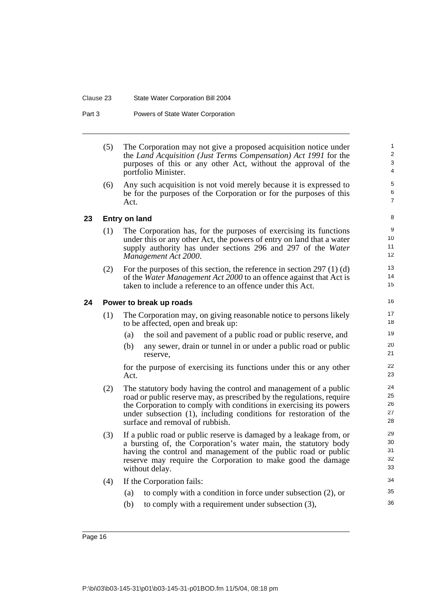#### Clause 23 State Water Corporation Bill 2004

Part 3 Powers of State Water Corporation

| (5) | The Corporation may not give a proposed acquisition notice under                      |
|-----|---------------------------------------------------------------------------------------|
|     | the Land Acquisition (Just Terms Compensation) Act 1991 for the                       |
|     | purposes of this or any other Act, without the approval of the<br>portfolio Minister. |

(6) Any such acquisition is not void merely because it is expressed to be for the purposes of the Corporation or for the purposes of this Act.

#### <span id="page-27-0"></span>**23 Entry on land**

- (1) The Corporation has, for the purposes of exercising its functions under this or any other Act, the powers of entry on land that a water supply authority has under sections 296 and 297 of the *Water Management Act 2000*.
- (2) For the purposes of this section, the reference in section 297 (1) (d) of the *Water Management Act 2000* to an offence against that Act is taken to include a reference to an offence under this Act.

#### <span id="page-27-1"></span>**24 Power to break up roads**

- (1) The Corporation may, on giving reasonable notice to persons likely to be affected, open and break up:
	- (a) the soil and pavement of a public road or public reserve, and
	- (b) any sewer, drain or tunnel in or under a public road or public reserve,

for the purpose of exercising its functions under this or any other Act.

- (2) The statutory body having the control and management of a public road or public reserve may, as prescribed by the regulations, require the Corporation to comply with conditions in exercising its powers under subsection (1), including conditions for restoration of the surface and removal of rubbish.
- (3) If a public road or public reserve is damaged by a leakage from, or a bursting of, the Corporation's water main, the statutory body having the control and management of the public road or public reserve may require the Corporation to make good the damage without delay.
- (4) If the Corporation fails:
	- (a) to comply with a condition in force under subsection (2), or
	- (b) to comply with a requirement under subsection (3),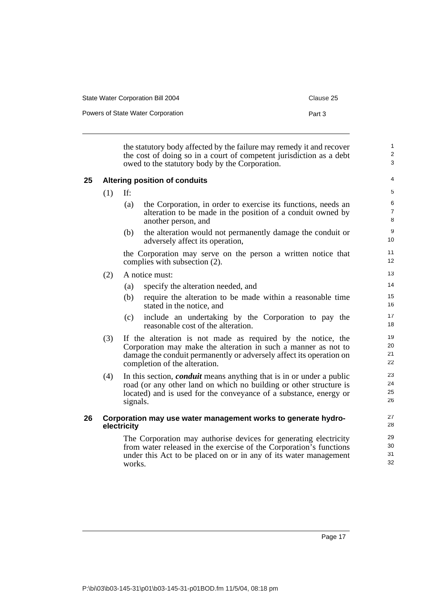| State Water Corporation Bill 2004 | Clause 25 |
|-----------------------------------|-----------|
| Powers of State Water Corporation | Part 3    |

the statutory body affected by the failure may remedy it and recover the cost of doing so in a court of competent jurisdiction as a debt owed to the statutory body by the Corporation.

#### <span id="page-28-0"></span>**25 Altering position of conduits**

- (1) If:
	- (a) the Corporation, in order to exercise its functions, needs an alteration to be made in the position of a conduit owned by another person, and
	- (b) the alteration would not permanently damage the conduit or adversely affect its operation,

the Corporation may serve on the person a written notice that complies with subsection (2).

- (2) A notice must:
	- (a) specify the alteration needed, and
	- (b) require the alteration to be made within a reasonable time stated in the notice, and
	- (c) include an undertaking by the Corporation to pay the reasonable cost of the alteration.
- (3) If the alteration is not made as required by the notice, the Corporation may make the alteration in such a manner as not to damage the conduit permanently or adversely affect its operation on completion of the alteration.
- (4) In this section, *conduit* means anything that is in or under a public road (or any other land on which no building or other structure is located) and is used for the conveyance of a substance, energy or signals.

#### <span id="page-28-1"></span>**26 Corporation may use water management works to generate hydroelectricity**

The Corporation may authorise devices for generating electricity from water released in the exercise of the Corporation's functions under this Act to be placed on or in any of its water management works.

Page 17

1  $\overline{2}$ 3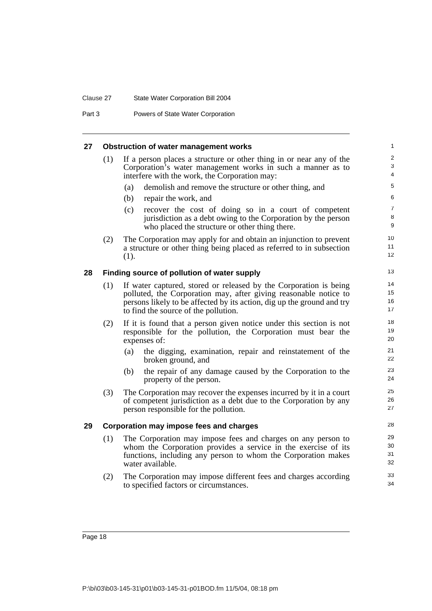#### Clause 27 State Water Corporation Bill 2004

Part 3 **Powers of State Water Corporation** 

#### <span id="page-29-2"></span><span id="page-29-1"></span><span id="page-29-0"></span>**27 Obstruction of water management works** (1) If a person places a structure or other thing in or near any of the Corporation's water management works in such a manner as to interfere with the work, the Corporation may: (a) demolish and remove the structure or other thing, and (b) repair the work, and (c) recover the cost of doing so in a court of competent jurisdiction as a debt owing to the Corporation by the person who placed the structure or other thing there. (2) The Corporation may apply for and obtain an injunction to prevent a structure or other thing being placed as referred to in subsection (1). **28 Finding source of pollution of water supply** (1) If water captured, stored or released by the Corporation is being polluted, the Corporation may, after giving reasonable notice to persons likely to be affected by its action, dig up the ground and try to find the source of the pollution. (2) If it is found that a person given notice under this section is not responsible for the pollution, the Corporation must bear the expenses of: (a) the digging, examination, repair and reinstatement of the broken ground, and (b) the repair of any damage caused by the Corporation to the property of the person. (3) The Corporation may recover the expenses incurred by it in a court of competent jurisdiction as a debt due to the Corporation by any person responsible for the pollution. **29 Corporation may impose fees and charges** (1) The Corporation may impose fees and charges on any person to whom the Corporation provides a service in the exercise of its functions, including any person to whom the Corporation makes water available. (2) The Corporation may impose different fees and charges according to specified factors or circumstances. 1  $\overline{2}$ 3 4 5 6 7 8 9 10 11 12 13 14 15 16 17 18 19 20 21 22 23 24 25 26 27 28 29 30 31 32 33 34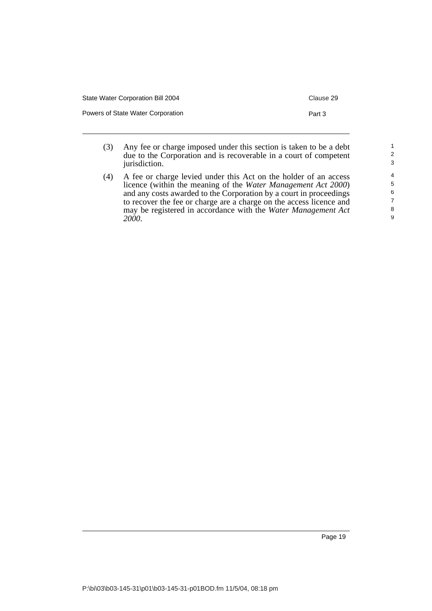| State Water Corporation Bill 2004 | Clause 29 |
|-----------------------------------|-----------|
| Powers of State Water Corporation | Part 3    |

| Any fee or charge imposed under this section is taken to be a debt |
|--------------------------------------------------------------------|
| due to the Corporation and is recoverable in a court of competent  |
| jurisdiction.                                                      |

(4) A fee or charge levied under this Act on the holder of an access licence (within the meaning of the *Water Management Act 2000*) and any costs awarded to the Corporation by a court in proceedings to recover the fee or charge are a charge on the access licence and may be registered in accordance with the *Water Management Act 2000*.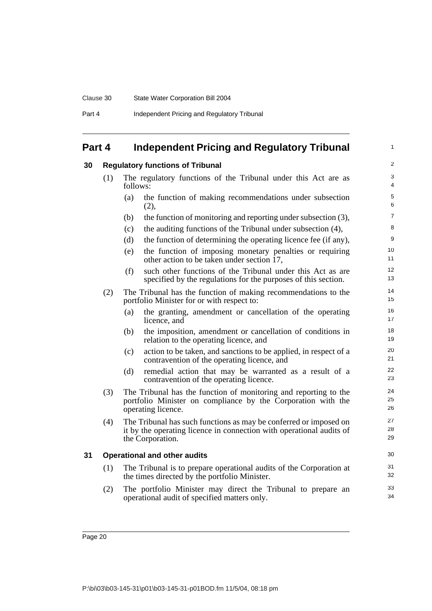#### Clause 30 State Water Corporation Bill 2004

| Part 4 | Independent Pricing and Regulatory Tribunal |  |
|--------|---------------------------------------------|--|
|--------|---------------------------------------------|--|

## <span id="page-31-0"></span>**Part 4 Independent Pricing and Regulatory Tribunal**

#### <span id="page-31-1"></span>**30 Regulatory functions of Tribunal**

| (1) | The regulatory functions of the Tribunal under this Act are as |  |  |  |  |  |
|-----|----------------------------------------------------------------|--|--|--|--|--|
|     | follows:                                                       |  |  |  |  |  |

(a) the function of making recommendations under subsection  $(2)$ .

1

- (b) the function of monitoring and reporting under subsection (3),
- (c) the auditing functions of the Tribunal under subsection (4),
- (d) the function of determining the operating licence fee (if any),
- (e) the function of imposing monetary penalties or requiring other action to be taken under section  $\overline{17}$ ,
- (f) such other functions of the Tribunal under this Act as are specified by the regulations for the purposes of this section.
- (2) The Tribunal has the function of making recommendations to the portfolio Minister for or with respect to:
	- (a) the granting, amendment or cancellation of the operating licence, and
	- (b) the imposition, amendment or cancellation of conditions in relation to the operating licence, and
	- (c) action to be taken, and sanctions to be applied, in respect of a contravention of the operating licence, and
	- (d) remedial action that may be warranted as a result of a contravention of the operating licence.
- (3) The Tribunal has the function of monitoring and reporting to the portfolio Minister on compliance by the Corporation with the operating licence.
- (4) The Tribunal has such functions as may be conferred or imposed on it by the operating licence in connection with operational audits of the Corporation.

#### <span id="page-31-2"></span>**31 Operational and other audits**

- (1) The Tribunal is to prepare operational audits of the Corporation at the times directed by the portfolio Minister.
- (2) The portfolio Minister may direct the Tribunal to prepare an operational audit of specified matters only.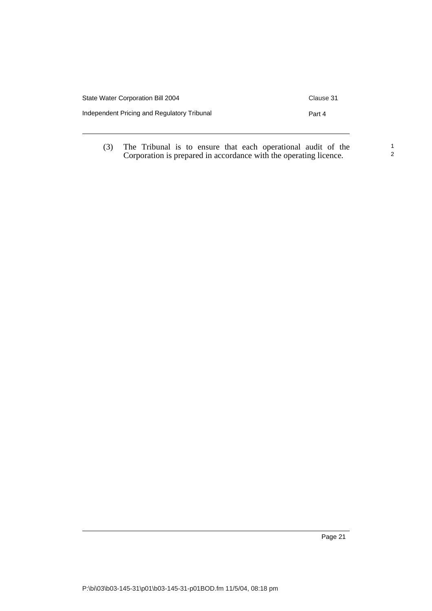| State Water Corporation Bill 2004           | Clause 31 |
|---------------------------------------------|-----------|
| Independent Pricing and Regulatory Tribunal | Part 4    |
|                                             |           |

(3) The Tribunal is to ensure that each operational audit of the Corporation is prepared in accordance with the operating licence.

1 2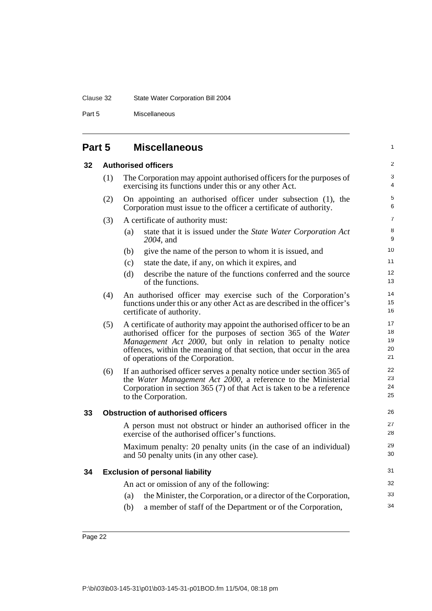#### Clause 32 State Water Corporation Bill 2004

Part 5 Miscellaneous

<span id="page-33-0"></span>

#### <span id="page-33-1"></span>**32 Authorised officers**

| (1) | The Corporation may appoint authorised officers for the purposes of |
|-----|---------------------------------------------------------------------|
|     | exercising its functions under this or any other Act.               |

1

(2) On appointing an authorised officer under subsection (1), the Corporation must issue to the officer a certificate of authority.

#### (3) A certificate of authority must:

- (a) state that it is issued under the *State Water Corporation Act 2004*, and
- (b) give the name of the person to whom it is issued, and
- (c) state the date, if any, on which it expires, and
- (d) describe the nature of the functions conferred and the source of the functions.
- (4) An authorised officer may exercise such of the Corporation's functions under this or any other Act as are described in the officer's certificate of authority.
- (5) A certificate of authority may appoint the authorised officer to be an authorised officer for the purposes of section 365 of the *Water Management Act 2000*, but only in relation to penalty notice offences, within the meaning of that section, that occur in the area of operations of the Corporation.
- (6) If an authorised officer serves a penalty notice under section 365 of the *Water Management Act 2000*, a reference to the Ministerial Corporation in section 365 (7) of that Act is taken to be a reference to the Corporation.

#### <span id="page-33-2"></span>**33 Obstruction of authorised officers**

A person must not obstruct or hinder an authorised officer in the exercise of the authorised officer's functions.

Maximum penalty: 20 penalty units (in the case of an individual) and 50 penalty units (in any other case).

#### <span id="page-33-3"></span>**34 Exclusion of personal liability**

An act or omission of any of the following:

- (a) the Minister, the Corporation, or a director of the Corporation,
- (b) a member of staff of the Department or of the Corporation,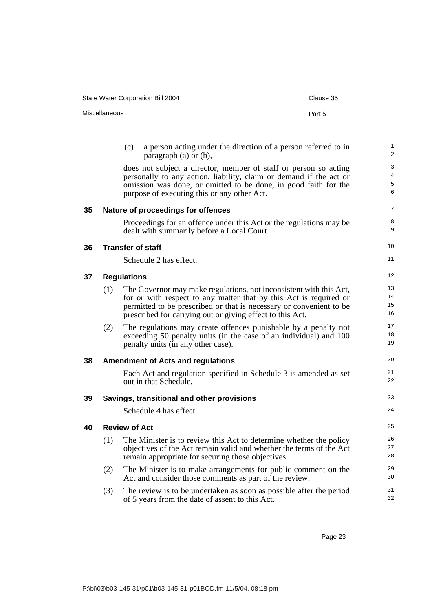<span id="page-34-5"></span><span id="page-34-4"></span><span id="page-34-3"></span><span id="page-34-2"></span><span id="page-34-1"></span><span id="page-34-0"></span>

|    |                    | State Water Corporation Bill 2004<br>Clause 35                                                                                                                                                                                                                              |                      |  |  |  |  |  |
|----|--------------------|-----------------------------------------------------------------------------------------------------------------------------------------------------------------------------------------------------------------------------------------------------------------------------|----------------------|--|--|--|--|--|
|    | Miscellaneous      | Part 5                                                                                                                                                                                                                                                                      |                      |  |  |  |  |  |
|    |                    | a person acting under the direction of a person referred to in<br>(c)<br>paragraph $(a)$ or $(b)$ ,                                                                                                                                                                         |                      |  |  |  |  |  |
|    |                    | does not subject a director, member of staff or person so acting<br>personally to any action, liability, claim or demand if the act or<br>omission was done, or omitted to be done, in good faith for the<br>purpose of executing this or any other Act.                    |                      |  |  |  |  |  |
| 35 |                    | Nature of proceedings for offences                                                                                                                                                                                                                                          |                      |  |  |  |  |  |
|    |                    | Proceedings for an offence under this Act or the regulations may be<br>dealt with summarily before a Local Court.                                                                                                                                                           |                      |  |  |  |  |  |
| 36 |                    | <b>Transfer of staff</b>                                                                                                                                                                                                                                                    | 10                   |  |  |  |  |  |
|    |                    | Schedule 2 has effect.                                                                                                                                                                                                                                                      | 11                   |  |  |  |  |  |
| 37 | <b>Regulations</b> |                                                                                                                                                                                                                                                                             |                      |  |  |  |  |  |
|    | (1)                | The Governor may make regulations, not inconsistent with this Act,<br>for or with respect to any matter that by this Act is required or<br>permitted to be prescribed or that is necessary or convenient to be<br>prescribed for carrying out or giving effect to this Act. | 13<br>14<br>15<br>16 |  |  |  |  |  |
|    | (2)                | The regulations may create offences punishable by a penalty not<br>exceeding 50 penalty units (in the case of an individual) and 100<br>penalty units (in any other case).                                                                                                  | 17<br>18<br>19       |  |  |  |  |  |
| 38 |                    | <b>Amendment of Acts and regulations</b>                                                                                                                                                                                                                                    | 20                   |  |  |  |  |  |
|    |                    | Each Act and regulation specified in Schedule 3 is amended as set<br>out in that Schedule.                                                                                                                                                                                  | 21<br>22             |  |  |  |  |  |
| 39 |                    | Savings, transitional and other provisions                                                                                                                                                                                                                                  | 23                   |  |  |  |  |  |
|    |                    | Schedule 4 has effect.                                                                                                                                                                                                                                                      | 24                   |  |  |  |  |  |
| 40 |                    | <b>Review of Act</b>                                                                                                                                                                                                                                                        | 25                   |  |  |  |  |  |
|    | (1)                | The Minister is to review this Act to determine whether the policy<br>objectives of the Act remain valid and whether the terms of the Act<br>remain appropriate for securing those objectives.                                                                              | 26<br>27<br>28       |  |  |  |  |  |
|    | (2)                | The Minister is to make arrangements for public comment on the<br>Act and consider those comments as part of the review.                                                                                                                                                    | 29<br>30             |  |  |  |  |  |
|    | (3)                | The review is to be undertaken as soon as possible after the period<br>of 5 years from the date of assent to this Act.                                                                                                                                                      | 31<br>32             |  |  |  |  |  |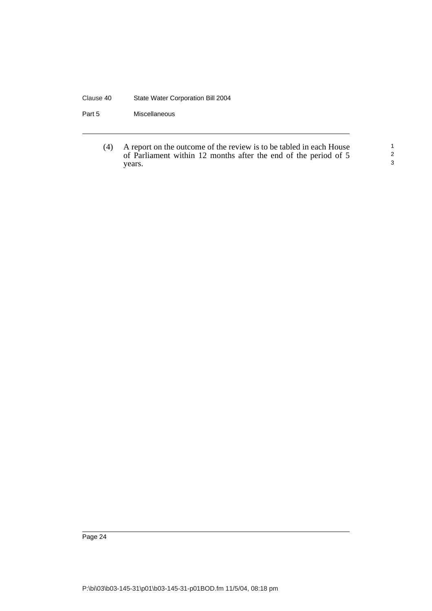#### Clause 40 State Water Corporation Bill 2004

Part 5 Miscellaneous

(4) A report on the outcome of the review is to be tabled in each House of Parliament within 12 months after the end of the period of 5 years.

1 2 3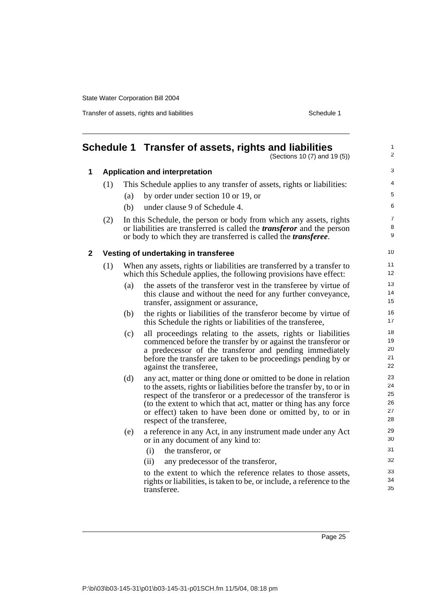Transfer of assets, rights and liabilities **Schedule 1** Schedule 1

<span id="page-36-0"></span>

|              |     |     | Schedule 1 Transfer of assets, rights and liabilities<br>(Sections 10 (7) and 19 (5))                                                                                                                                                                                                                                                                                      | $\mathbf{1}$<br>$\overline{2}$   |
|--------------|-----|-----|----------------------------------------------------------------------------------------------------------------------------------------------------------------------------------------------------------------------------------------------------------------------------------------------------------------------------------------------------------------------------|----------------------------------|
| $\mathbf{1}$ |     |     | <b>Application and interpretation</b>                                                                                                                                                                                                                                                                                                                                      | 3                                |
|              | (1) |     | This Schedule applies to any transfer of assets, rights or liabilities:                                                                                                                                                                                                                                                                                                    | 4                                |
|              |     | (a) | by order under section 10 or 19, or                                                                                                                                                                                                                                                                                                                                        | 5                                |
|              |     | (b) | under clause 9 of Schedule 4.                                                                                                                                                                                                                                                                                                                                              | 6                                |
|              | (2) |     | In this Schedule, the person or body from which any assets, rights<br>or liabilities are transferred is called the <i>transferor</i> and the person<br>or body to which they are transferred is called the <i>transferee</i> .                                                                                                                                             | $\overline{7}$<br>8<br>9         |
| $\mathbf{2}$ |     |     | Vesting of undertaking in transferee                                                                                                                                                                                                                                                                                                                                       | 10                               |
|              | (1) |     | When any assets, rights or liabilities are transferred by a transfer to<br>which this Schedule applies, the following provisions have effect:                                                                                                                                                                                                                              | 11<br>12                         |
|              |     | (a) | the assets of the transferor vest in the transferee by virtue of<br>this clause and without the need for any further conveyance,                                                                                                                                                                                                                                           | 13<br>14                         |
|              |     |     | transfer, assignment or assurance,                                                                                                                                                                                                                                                                                                                                         | 15                               |
|              |     | (b) | the rights or liabilities of the transferor become by virtue of<br>this Schedule the rights or liabilities of the transferee,                                                                                                                                                                                                                                              | 16<br>17                         |
|              |     | (c) | all proceedings relating to the assets, rights or liabilities<br>commenced before the transfer by or against the transferor or<br>a predecessor of the transferor and pending immediately<br>before the transfer are taken to be proceedings pending by or<br>against the transferee,                                                                                      | 18<br>19<br>20<br>21<br>22       |
|              |     | (d) | any act, matter or thing done or omitted to be done in relation<br>to the assets, rights or liabilities before the transfer by, to or in<br>respect of the transferor or a predecessor of the transferor is<br>(to the extent to which that act, matter or thing has any force<br>or effect) taken to have been done or omitted by, to or in<br>respect of the transferee, | 23<br>24<br>25<br>26<br>27<br>28 |
|              |     | (e) | a reference in any Act, in any instrument made under any Act<br>or in any document of any kind to:                                                                                                                                                                                                                                                                         | 29<br>30                         |
|              |     |     | (i)<br>the transferor, or                                                                                                                                                                                                                                                                                                                                                  | 31                               |
|              |     |     | (ii)<br>any predecessor of the transferor,                                                                                                                                                                                                                                                                                                                                 | 32                               |
|              |     |     | to the extent to which the reference relates to those assets,<br>rights or liabilities, is taken to be, or include, a reference to the<br>transferee.                                                                                                                                                                                                                      | 33<br>34<br>35                   |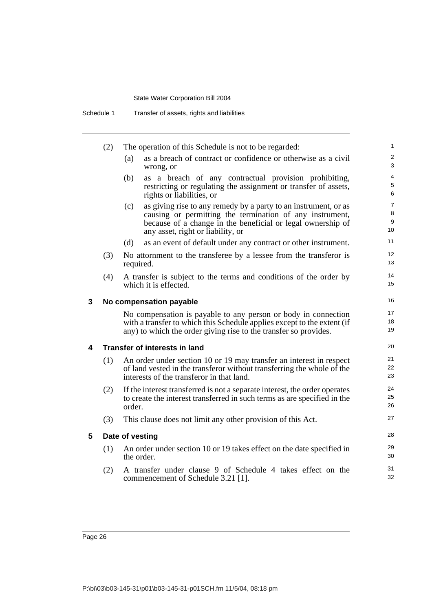|   | (2) | The operation of this Schedule is not to be regarded:                                                                                                                                                                                  | $\mathbf{1}$                        |
|---|-----|----------------------------------------------------------------------------------------------------------------------------------------------------------------------------------------------------------------------------------------|-------------------------------------|
|   |     | as a breach of contract or confidence or otherwise as a civil<br>(a)<br>wrong, or                                                                                                                                                      | $\overline{c}$<br>3                 |
|   |     | (b)<br>as a breach of any contractual provision prohibiting,<br>restricting or regulating the assignment or transfer of assets,<br>rights or liabilities, or                                                                           | 4<br>5<br>6                         |
|   |     | as giving rise to any remedy by a party to an instrument, or as<br>(c)<br>causing or permitting the termination of any instrument,<br>because of a change in the beneficial or legal ownership of<br>any asset, right or liability, or | $\overline{7}$<br>$\bf8$<br>9<br>10 |
|   |     | as an event of default under any contract or other instrument.<br>(d)                                                                                                                                                                  | 11                                  |
|   | (3) | No attornment to the transferee by a lessee from the transferor is<br>required.                                                                                                                                                        | 12<br>13                            |
|   | (4) | A transfer is subject to the terms and conditions of the order by<br>which it is effected.                                                                                                                                             | 14<br>15                            |
| 3 |     | No compensation payable                                                                                                                                                                                                                | 16                                  |
|   |     | No compensation is payable to any person or body in connection<br>with a transfer to which this Schedule applies except to the extent (if<br>any) to which the order giving rise to the transfer so provides.                          | 17<br>18<br>19                      |
| 4 |     | <b>Transfer of interests in land</b>                                                                                                                                                                                                   | 20                                  |
|   | (1) | An order under section 10 or 19 may transfer an interest in respect<br>of land vested in the transferor without transferring the whole of the<br>interests of the transferor in that land.                                             | 21<br>22<br>23                      |
|   | (2) | If the interest transferred is not a separate interest, the order operates<br>to create the interest transferred in such terms as are specified in the<br>order.                                                                       | 24<br>25<br>26                      |
|   | (3) | This clause does not limit any other provision of this Act.                                                                                                                                                                            | 27                                  |
| 5 |     | Date of vesting                                                                                                                                                                                                                        | 28                                  |
|   | (1) | An order under section 10 or 19 takes effect on the date specified in<br>the order.                                                                                                                                                    | 29<br>30                            |
|   | (2) | A transfer under clause 9 of Schedule 4 takes effect on the<br>commencement of Schedule 3.21 [1].                                                                                                                                      | 31<br>32                            |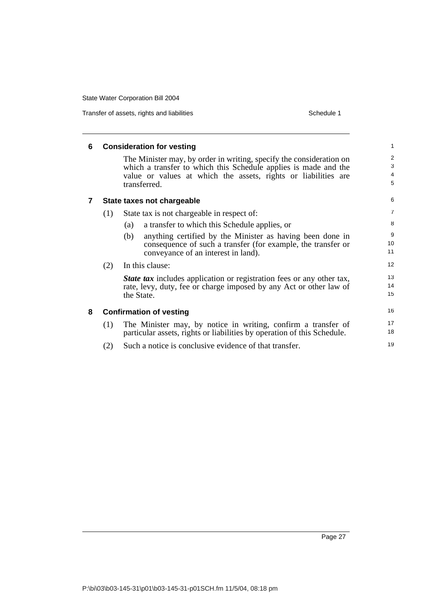Transfer of assets, rights and liabilities **Schedule 1** Schedule 1

| 6 |     | <b>Consideration for vesting</b>                                                                                                                                                                                         | $\mathbf{1}$     |
|---|-----|--------------------------------------------------------------------------------------------------------------------------------------------------------------------------------------------------------------------------|------------------|
|   |     | The Minister may, by order in writing, specify the consideration on<br>which a transfer to which this Schedule applies is made and the<br>value or values at which the assets, rights or liabilities are<br>transferred. | 2<br>3<br>4<br>5 |
| 7 |     | State taxes not chargeable                                                                                                                                                                                               | 6                |
|   | (1) | State tax is not chargeable in respect of:                                                                                                                                                                               | $\overline{7}$   |
|   |     | a transfer to which this Schedule applies, or<br>(a)                                                                                                                                                                     | 8                |
|   |     | anything certified by the Minister as having been done in<br>(b)                                                                                                                                                         | 9                |
|   |     | consequence of such a transfer (for example, the transfer or<br>conveyance of an interest in land).                                                                                                                      | 10<br>11         |
|   | (2) | In this clause:                                                                                                                                                                                                          | 12               |
|   |     | State tax includes application or registration fees or any other tax,                                                                                                                                                    | 13               |
|   |     | rate, levy, duty, fee or charge imposed by any Act or other law of                                                                                                                                                       | 14               |
|   |     | the State.                                                                                                                                                                                                               | 15               |
| 8 |     | <b>Confirmation of vesting</b>                                                                                                                                                                                           | 16               |
|   | (1) | The Minister may, by notice in writing, confirm a transfer of                                                                                                                                                            | 17               |
|   |     | particular assets, rights or liabilities by operation of this Schedule.                                                                                                                                                  | 18               |
|   | (2) | Such a notice is conclusive evidence of that transfer.                                                                                                                                                                   | 19               |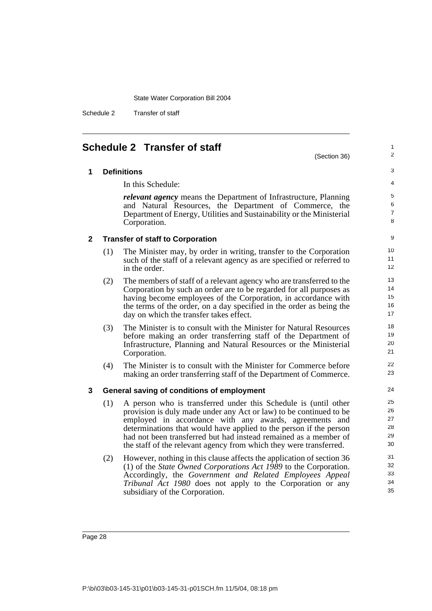Schedule 2 Transfer of staff

## <span id="page-39-0"></span>**Schedule 2 Transfer of staff**

#### **1 Definitions**

In this Schedule:

*relevant agency* means the Department of Infrastructure, Planning and Natural Resources, the Department of Commerce, the Department of Energy, Utilities and Sustainability or the Ministerial Corporation.

(Section 36)

1 2

**2 Transfer of staff to Corporation**

- (1) The Minister may, by order in writing, transfer to the Corporation such of the staff of a relevant agency as are specified or referred to in the order.
- (2) The members of staff of a relevant agency who are transferred to the Corporation by such an order are to be regarded for all purposes as having become employees of the Corporation, in accordance with the terms of the order, on a day specified in the order as being the day on which the transfer takes effect.
- (3) The Minister is to consult with the Minister for Natural Resources before making an order transferring staff of the Department of Infrastructure, Planning and Natural Resources or the Ministerial Corporation.
- (4) The Minister is to consult with the Minister for Commerce before making an order transferring staff of the Department of Commerce.

#### **3 General saving of conditions of employment**

- (1) A person who is transferred under this Schedule is (until other provision is duly made under any Act or law) to be continued to be employed in accordance with any awards, agreements and determinations that would have applied to the person if the person had not been transferred but had instead remained as a member of the staff of the relevant agency from which they were transferred.
- (2) However, nothing in this clause affects the application of section 36 (1) of the *State Owned Corporations Act 1989* to the Corporation. Accordingly, the *Government and Related Employees Appeal Tribunal Act 1980* does not apply to the Corporation or any subsidiary of the Corporation.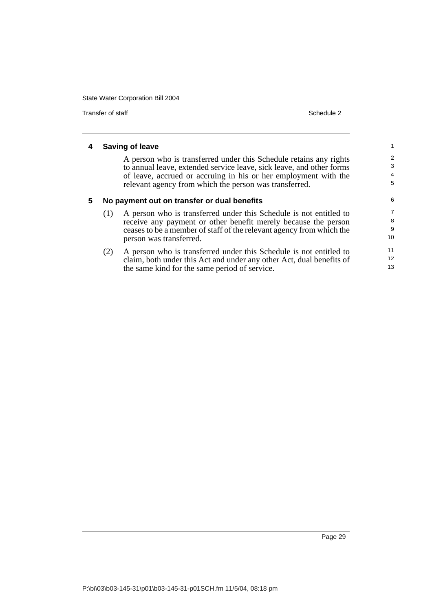Transfer of staff Schedule 2

|   | <b>Saving of leave</b>                      |                                                                      | 1  |
|---|---------------------------------------------|----------------------------------------------------------------------|----|
|   |                                             | A person who is transferred under this Schedule retains any rights   | 2  |
|   |                                             | to annual leave, extended service leave, sick leave, and other forms | 3  |
|   |                                             | of leave, accrued or accruing in his or her employment with the      | 4  |
|   |                                             | relevant agency from which the person was transferred.               | 5  |
| 5 | No payment out on transfer or dual benefits |                                                                      | 6  |
|   | (1)                                         | A person who is transferred under this Schedule is not entitled to   | 7  |
|   |                                             | receive any payment or other benefit merely because the person       | 8  |
|   |                                             | ceases to be a member of staff of the relevant agency from which the | 9  |
|   |                                             | person was transferred.                                              | 10 |
|   | (2)                                         | A person who is transferred under this Schedule is not entitled to   | 11 |
|   |                                             | claim, both under this Act and under any other Act, dual benefits of | 12 |
|   |                                             | the same kind for the same period of service                         | 13 |

the same kind for the same period of service.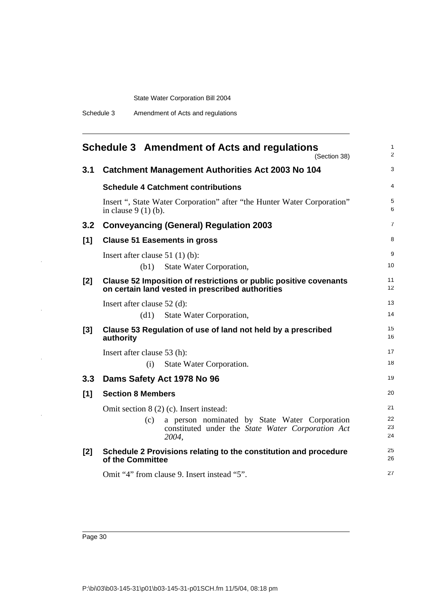<span id="page-41-0"></span>

|     | Schedule 3 Amendment of Acts and regulations<br>(Section 38)                                                          | 1<br>$\overline{2}$ |
|-----|-----------------------------------------------------------------------------------------------------------------------|---------------------|
| 3.1 | <b>Catchment Management Authorities Act 2003 No 104</b>                                                               | 3                   |
|     | <b>Schedule 4 Catchment contributions</b>                                                                             | 4                   |
|     | Insert ", State Water Corporation" after "the Hunter Water Corporation"<br>in clause $9(1)(b)$ .                      | 5<br>6              |
| 3.2 | <b>Conveyancing (General) Regulation 2003</b>                                                                         | $\overline{7}$      |
| [1] | <b>Clause 51 Easements in gross</b>                                                                                   | 8                   |
|     | Insert after clause $51(1)(b)$ :                                                                                      | 9                   |
|     | (b1)<br>State Water Corporation,                                                                                      | 10                  |
| [2] | Clause 52 Imposition of restrictions or public positive covenants<br>on certain land vested in prescribed authorities | 11<br>12            |
|     | Insert after clause $52$ (d):                                                                                         | 13                  |
|     | (d1)<br>State Water Corporation,                                                                                      | 14                  |
| [3] | Clause 53 Regulation of use of land not held by a prescribed<br>authority                                             | 15<br>16            |
|     | Insert after clause 53 (h):                                                                                           | 17                  |
|     | State Water Corporation.<br>(i)                                                                                       | 18                  |
| 3.3 | Dams Safety Act 1978 No 96                                                                                            | 19                  |
| [1] | <b>Section 8 Members</b>                                                                                              | 20                  |
|     | Omit section $8(2)$ (c). Insert instead:                                                                              | 21                  |
|     | a person nominated by State Water Corporation<br>(c)<br>constituted under the State Water Corporation Act<br>2004,    | 22<br>23<br>24      |
| [2] | Schedule 2 Provisions relating to the constitution and procedure<br>of the Committee                                  | 25<br>26            |
|     | Omit "4" from clause 9. Insert instead "5".                                                                           | 27                  |

 $\ddot{\phantom{a}}$ 

l,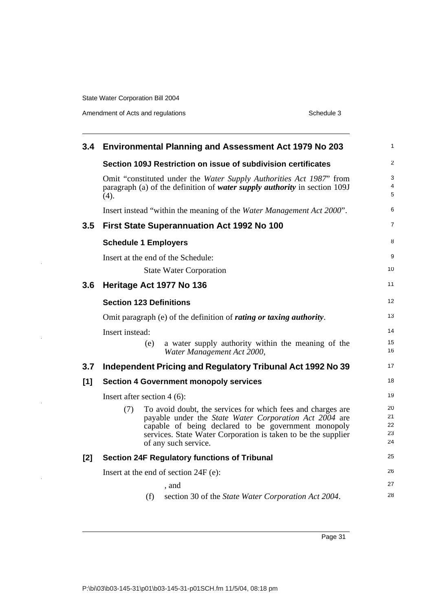Amendment of Acts and regulations

 $\bar{z}$ 

 $\bar{\beta}$ 

| Schedule 3 |  |
|------------|--|
|            |  |

| $3.4^{\circ}$ | <b>Environmental Planning and Assessment Act 1979 No 203</b>                                                                                                                                                                                                                 | 1                          |
|---------------|------------------------------------------------------------------------------------------------------------------------------------------------------------------------------------------------------------------------------------------------------------------------------|----------------------------|
|               | Section 109J Restriction on issue of subdivision certificates                                                                                                                                                                                                                | 2                          |
|               | Omit "constituted under the Water Supply Authorities Act 1987" from<br>paragraph (a) of the definition of water supply authority in section 109J<br>(4).                                                                                                                     | 3<br>$\overline{4}$<br>5   |
|               | Insert instead "within the meaning of the Water Management Act 2000".                                                                                                                                                                                                        | 6                          |
| 3.5           | First State Superannuation Act 1992 No 100                                                                                                                                                                                                                                   | 7                          |
|               | <b>Schedule 1 Employers</b>                                                                                                                                                                                                                                                  | 8                          |
|               | Insert at the end of the Schedule:                                                                                                                                                                                                                                           | 9                          |
|               | <b>State Water Corporation</b>                                                                                                                                                                                                                                               | 10                         |
| 3.6           | Heritage Act 1977 No 136                                                                                                                                                                                                                                                     | 11                         |
|               | <b>Section 123 Definitions</b>                                                                                                                                                                                                                                               | 12                         |
|               | Omit paragraph (e) of the definition of <i>rating or taxing authority</i> .                                                                                                                                                                                                  | 13                         |
|               | Insert instead:                                                                                                                                                                                                                                                              | 14                         |
|               | a water supply authority within the meaning of the<br>(e)<br>Water Management Act 2000,                                                                                                                                                                                      | 15<br>16                   |
| 3.7           | Independent Pricing and Regulatory Tribunal Act 1992 No 39                                                                                                                                                                                                                   | 17                         |
| [1]           | <b>Section 4 Government monopoly services</b>                                                                                                                                                                                                                                | 18                         |
|               | Insert after section $4(6)$ :                                                                                                                                                                                                                                                | 19                         |
|               | To avoid doubt, the services for which fees and charges are<br>(7)<br>payable under the State Water Corporation Act 2004 are<br>capable of being declared to be government monopoly<br>services. State Water Corporation is taken to be the supplier<br>of any such service. | 20<br>21<br>22<br>23<br>24 |
| [2]           | <b>Section 24F Regulatory functions of Tribunal</b>                                                                                                                                                                                                                          | 25                         |
|               | Insert at the end of section $24F(e)$ :                                                                                                                                                                                                                                      | 26                         |
|               | , and                                                                                                                                                                                                                                                                        | 27                         |
|               | (f)<br>section 30 of the State Water Corporation Act 2004.                                                                                                                                                                                                                   | 28                         |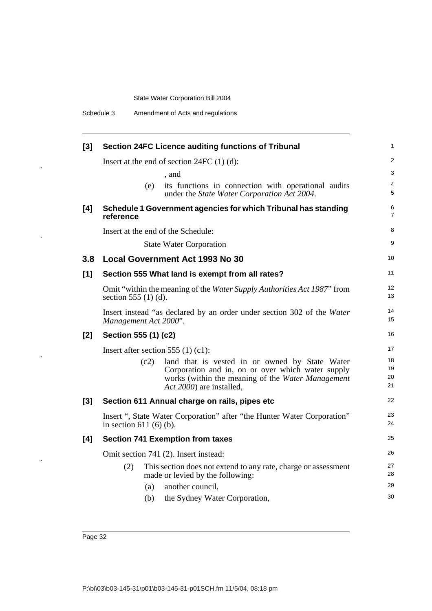| [3] | <b>Section 24FC Licence auditing functions of Tribunal</b>                                                                                                                                   | 1                    |
|-----|----------------------------------------------------------------------------------------------------------------------------------------------------------------------------------------------|----------------------|
|     | Insert at the end of section $24FC(1)(d)$ :                                                                                                                                                  | $\overline{2}$       |
|     | , and                                                                                                                                                                                        | 3                    |
|     | its functions in connection with operational audits<br>(e)<br>under the State Water Corporation Act 2004.                                                                                    | 4<br>5               |
| [4] | Schedule 1 Government agencies for which Tribunal has standing<br>reference                                                                                                                  | 6<br>$\overline{7}$  |
|     | Insert at the end of the Schedule:                                                                                                                                                           | 8                    |
|     | <b>State Water Corporation</b>                                                                                                                                                               | 9                    |
| 3.8 | Local Government Act 1993 No 30                                                                                                                                                              | 10                   |
| [1] | Section 555 What land is exempt from all rates?                                                                                                                                              | 11                   |
|     | Omit "within the meaning of the Water Supply Authorities Act 1987" from<br>section 555 (1) (d).                                                                                              | 12<br>13             |
|     | Insert instead "as declared by an order under section 302 of the Water<br>Management Act 2000".                                                                                              | 14<br>15             |
| [2] | Section 555 (1) (c2)                                                                                                                                                                         | 16                   |
|     | Insert after section 555 $(1)$ (c1):                                                                                                                                                         | 17                   |
|     | land that is vested in or owned by State Water<br>(c2)<br>Corporation and in, on or over which water supply<br>works (within the meaning of the Water Management<br>Act 2000) are installed, | 18<br>19<br>20<br>21 |
| [3] | Section 611 Annual charge on rails, pipes etc                                                                                                                                                | 22                   |
|     | Insert ", State Water Corporation" after "the Hunter Water Corporation"<br>in section $611(6)(b)$ .                                                                                          | 23<br>24             |
| [4] | <b>Section 741 Exemption from taxes</b>                                                                                                                                                      | 25                   |
|     | Omit section 741 (2). Insert instead:                                                                                                                                                        | 26                   |
|     | (2)<br>This section does not extend to any rate, charge or assessment<br>made or levied by the following:                                                                                    | 27<br>28             |
|     | another council,<br>(a)                                                                                                                                                                      | 29                   |
|     | (b)<br>the Sydney Water Corporation,                                                                                                                                                         | 30                   |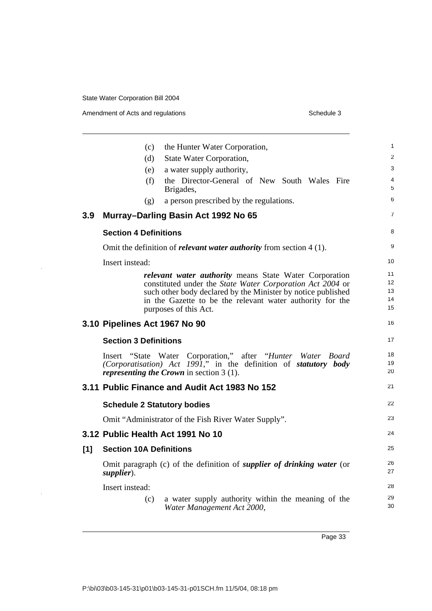Amendment of Acts and regulations **Schedule 3** Schedule 3

J.

|     | the Hunter Water Corporation,<br>(c)                                                                                                                                                                                                                                             | $\mathbf{1}$                 |
|-----|----------------------------------------------------------------------------------------------------------------------------------------------------------------------------------------------------------------------------------------------------------------------------------|------------------------------|
|     | (d)<br>State Water Corporation,                                                                                                                                                                                                                                                  | 2                            |
|     | a water supply authority,<br>(e)                                                                                                                                                                                                                                                 | 3                            |
|     | the Director-General of New South Wales Fire<br>(f)<br>Brigades,                                                                                                                                                                                                                 | $\overline{\mathbf{4}}$<br>5 |
|     | a person prescribed by the regulations.<br>(g)                                                                                                                                                                                                                                   | 6                            |
| 3.9 | Murray-Darling Basin Act 1992 No 65                                                                                                                                                                                                                                              | $\overline{7}$               |
|     | <b>Section 4 Definitions</b>                                                                                                                                                                                                                                                     | 8                            |
|     | Omit the definition of <i>relevant</i> water <i>authority</i> from section $4(1)$ .                                                                                                                                                                                              | 9                            |
|     | Insert instead:                                                                                                                                                                                                                                                                  | 10                           |
|     | <i>relevant water authority</i> means State Water Corporation<br>constituted under the State Water Corporation Act 2004 or<br>such other body declared by the Minister by notice published<br>in the Gazette to be the relevant water authority for the<br>purposes of this Act. | 11<br>12<br>13<br>14<br>15   |
|     | 3.10 Pipelines Act 1967 No 90                                                                                                                                                                                                                                                    |                              |
|     | <b>Section 3 Definitions</b>                                                                                                                                                                                                                                                     | 17                           |
|     | Insert "State Water Corporation," after "Hunter Water Board<br>(Corporatisation) Act 1991," in the definition of statutory body<br><i>representing the Crown</i> in section $3(1)$ .                                                                                             | 18<br>19<br>20               |
|     | 3.11 Public Finance and Audit Act 1983 No 152                                                                                                                                                                                                                                    | 21                           |
|     | <b>Schedule 2 Statutory bodies</b>                                                                                                                                                                                                                                               | 22                           |
|     | Omit "Administrator of the Fish River Water Supply".                                                                                                                                                                                                                             | 23                           |
|     | 3.12 Public Health Act 1991 No 10                                                                                                                                                                                                                                                | 24                           |
| [1] | <b>Section 10A Definitions</b>                                                                                                                                                                                                                                                   | 25                           |
|     | Omit paragraph (c) of the definition of <i>supplier of drinking water</i> (or<br>supplier).                                                                                                                                                                                      | 26<br>27                     |
|     | Insert instead:                                                                                                                                                                                                                                                                  | 28                           |
|     | a water supply authority within the meaning of the<br>(c)<br>Water Management Act 2000,                                                                                                                                                                                          | 29<br>30                     |
|     |                                                                                                                                                                                                                                                                                  |                              |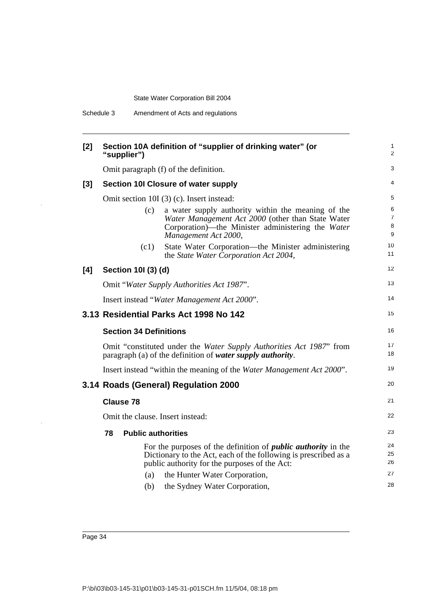| [2] | "supplier")                               | Section 10A definition of "supplier of drinking water" (or                                                                                                                                                                                                 | 1<br>$\overline{2}$        |
|-----|-------------------------------------------|------------------------------------------------------------------------------------------------------------------------------------------------------------------------------------------------------------------------------------------------------------|----------------------------|
|     | Omit paragraph (f) of the definition.     |                                                                                                                                                                                                                                                            |                            |
| [3] |                                           | Section 10I Closure of water supply                                                                                                                                                                                                                        | 4                          |
|     | Omit section 10I (3) (c). Insert instead: |                                                                                                                                                                                                                                                            |                            |
|     | (c)                                       | a water supply authority within the meaning of the<br>Water Management Act 2000 (other than State Water<br>Corporation)—the Minister administering the Water<br>Management Act 2000,                                                                       | 6<br>7<br>8<br>9           |
|     | (c1)                                      | State Water Corporation—the Minister administering<br>the State Water Corporation Act 2004,                                                                                                                                                                | 10<br>11                   |
| [4] | Section 101 (3) (d)                       |                                                                                                                                                                                                                                                            | 12                         |
|     |                                           | Omit "Water Supply Authorities Act 1987".                                                                                                                                                                                                                  | 13                         |
|     |                                           | Insert instead "Water Management Act 2000".                                                                                                                                                                                                                | 14                         |
|     |                                           | 3.13 Residential Parks Act 1998 No 142                                                                                                                                                                                                                     | 15                         |
|     | <b>Section 34 Definitions</b>             |                                                                                                                                                                                                                                                            | 16                         |
|     |                                           | Omit "constituted under the Water Supply Authorities Act 1987" from<br>paragraph (a) of the definition of water supply authority.                                                                                                                          | 17<br>18                   |
|     |                                           | Insert instead "within the meaning of the Water Management Act 2000".                                                                                                                                                                                      | 19                         |
|     |                                           | 3.14 Roads (General) Regulation 2000                                                                                                                                                                                                                       | 20                         |
|     | <b>Clause 78</b>                          |                                                                                                                                                                                                                                                            | 21                         |
|     | Omit the clause. Insert instead:          |                                                                                                                                                                                                                                                            | 22                         |
|     | <b>Public authorities</b><br>78           |                                                                                                                                                                                                                                                            | 23                         |
|     | (a)<br>(b)                                | For the purposes of the definition of <i>public authority</i> in the<br>Dictionary to the Act, each of the following is prescribed as a<br>public authority for the purposes of the Act:<br>the Hunter Water Corporation,<br>the Sydney Water Corporation, | 24<br>25<br>26<br>27<br>28 |
|     |                                           |                                                                                                                                                                                                                                                            |                            |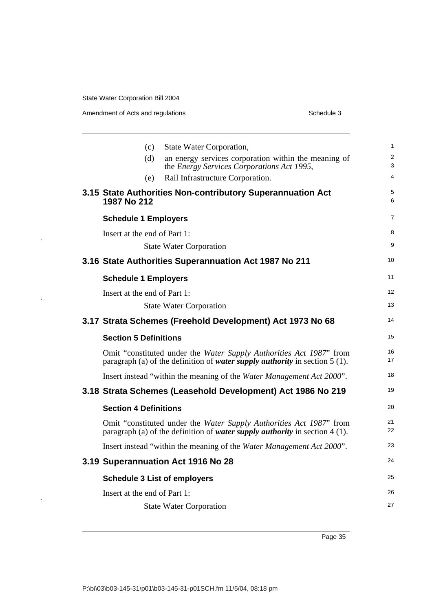$\ddot{\phantom{a}}$ 

 $\ddot{\phantom{0}}$ 

Amendment of Acts and regulations **Schedule 3** Schedule 3

| (c)                                 | State Water Corporation,                                                                                                                                    | $\mathbf{1}$      |
|-------------------------------------|-------------------------------------------------------------------------------------------------------------------------------------------------------------|-------------------|
| (d)                                 | an energy services corporation within the meaning of<br>the Energy Services Corporations Act 1995,                                                          | $\mathbf{2}$<br>3 |
| (e)                                 | Rail Infrastructure Corporation.                                                                                                                            | $\overline{4}$    |
| 1987 No 212                         | 3.15 State Authorities Non-contributory Superannuation Act                                                                                                  | 5<br>6            |
| <b>Schedule 1 Employers</b>         |                                                                                                                                                             | $\overline{7}$    |
| Insert at the end of Part 1:        |                                                                                                                                                             | 8                 |
|                                     | <b>State Water Corporation</b>                                                                                                                              | 9                 |
|                                     | 3.16 State Authorities Superannuation Act 1987 No 211                                                                                                       | 10                |
| <b>Schedule 1 Employers</b>         |                                                                                                                                                             | 11                |
| Insert at the end of Part 1:        |                                                                                                                                                             | 12                |
|                                     | <b>State Water Corporation</b>                                                                                                                              | 13                |
|                                     | 3.17 Strata Schemes (Freehold Development) Act 1973 No 68                                                                                                   | 14                |
| <b>Section 5 Definitions</b>        |                                                                                                                                                             | 15                |
|                                     | Omit "constituted under the Water Supply Authorities Act 1987" from<br>paragraph (a) of the definition of <i>water supply authority</i> in section $5(1)$ . | 16<br>17          |
|                                     | Insert instead "within the meaning of the Water Management Act 2000".                                                                                       | 18                |
|                                     | 3.18 Strata Schemes (Leasehold Development) Act 1986 No 219                                                                                                 | 19                |
| <b>Section 4 Definitions</b>        |                                                                                                                                                             | 20                |
|                                     | Omit "constituted under the Water Supply Authorities Act 1987" from<br>paragraph (a) of the definition of <i>water supply authority</i> in section $4(1)$ . | 21<br>22          |
|                                     | Insert instead "within the meaning of the Water Management Act 2000".                                                                                       | 23                |
|                                     | 3.19 Superannuation Act 1916 No 28                                                                                                                          | 24                |
| <b>Schedule 3 List of employers</b> |                                                                                                                                                             | 25                |
| Insert at the end of Part 1:        |                                                                                                                                                             | 26                |
|                                     | <b>State Water Corporation</b>                                                                                                                              | 27                |
|                                     |                                                                                                                                                             |                   |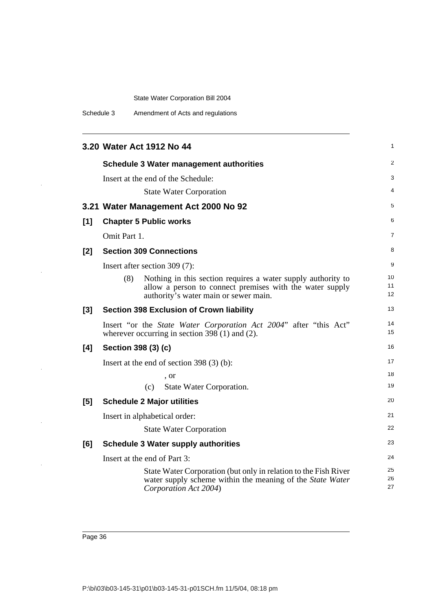| Schedule 3 | Amendment of Acts and regulations |
|------------|-----------------------------------|
|------------|-----------------------------------|

|       | 3.20 Water Act 1912 No 44                                                                                                                                                | 1              |
|-------|--------------------------------------------------------------------------------------------------------------------------------------------------------------------------|----------------|
|       | <b>Schedule 3 Water management authorities</b>                                                                                                                           | 2              |
|       | Insert at the end of the Schedule:                                                                                                                                       | 3              |
|       | <b>State Water Corporation</b>                                                                                                                                           | 4              |
|       | 3.21 Water Management Act 2000 No 92                                                                                                                                     | 5              |
| [1]   | <b>Chapter 5 Public works</b>                                                                                                                                            | 6              |
|       | Omit Part 1.                                                                                                                                                             | $\overline{7}$ |
| [2]   | <b>Section 309 Connections</b>                                                                                                                                           | 8              |
|       | Insert after section 309 (7):                                                                                                                                            | 9              |
|       | (8)<br>Nothing in this section requires a water supply authority to<br>allow a person to connect premises with the water supply<br>authority's water main or sewer main. | 10<br>11<br>12 |
| $[3]$ | <b>Section 398 Exclusion of Crown liability</b>                                                                                                                          | 13             |
|       | Insert "or the State Water Corporation Act 2004" after "this Act"<br>wherever occurring in section $398(1)$ and $(2)$ .                                                  | 14<br>15       |
| [4]   | Section 398 (3) (c)                                                                                                                                                      | 16             |
|       | Insert at the end of section $398(3)(b)$ :                                                                                                                               | 17             |
|       | , or                                                                                                                                                                     | 18             |
|       | State Water Corporation.<br>(c)                                                                                                                                          | 19             |
| [5]   | <b>Schedule 2 Major utilities</b>                                                                                                                                        | 20             |
|       | Insert in alphabetical order:                                                                                                                                            | 21             |
|       | <b>State Water Corporation</b>                                                                                                                                           | 22             |
| [6]   | <b>Schedule 3 Water supply authorities</b>                                                                                                                               | 23             |
|       | Insert at the end of Part 3:                                                                                                                                             | 24             |
|       | State Water Corporation (but only in relation to the Fish River<br>water supply scheme within the meaning of the State Water<br>Corporation Act 2004)                    | 25<br>26<br>27 |
|       |                                                                                                                                                                          |                |

 $\hat{\mathcal{A}}$ 

 $\hat{\mathcal{A}}$ 

 $\hat{\mathcal{A}}$ 

 $\mathcal{A}^{\mathcal{A}}$ 

 $\hat{\boldsymbol{\beta}}$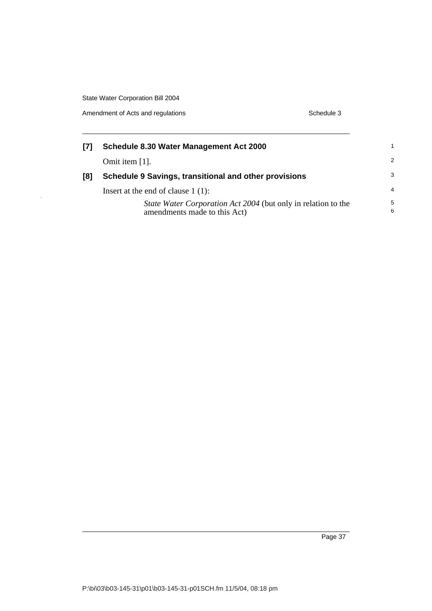Amendment of Acts and regulations **Schedule 3** Schedule 3

 $\ddot{\phantom{a}}$ 

| [7] | Schedule 8.30 Water Management Act 2000                                                              | 1              |
|-----|------------------------------------------------------------------------------------------------------|----------------|
|     | Omit item $[1]$ .                                                                                    | $\mathcal{P}$  |
| [8] | Schedule 9 Savings, transitional and other provisions                                                | 3              |
|     | Insert at the end of clause $1(1)$ :                                                                 | $\overline{4}$ |
|     | <i>State Water Corporation Act 2004</i> (but only in relation to the<br>amendments made to this Act) | 5<br>6         |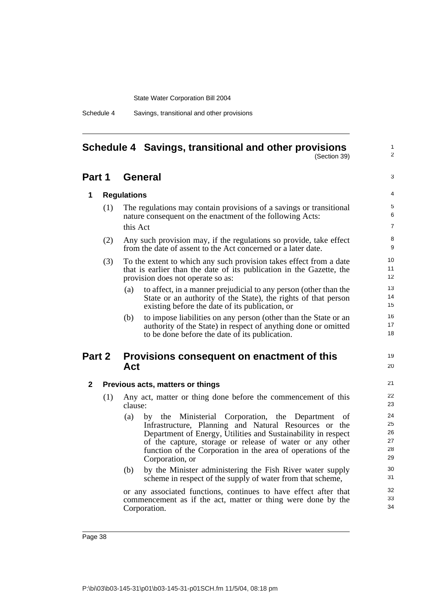Schedule 4 Savings, transitional and other provisions

<span id="page-49-0"></span>

| Schedule 4 Savings, transitional and other provisions |  |  |        |
|-------------------------------------------------------|--|--|--------|
|                                                       |  |  | (0, 0) |

#### (Section 39)

1 2

| Part 1       |     | <b>General</b>                                                                                                                                                                                                                                                                                                                       | 3                                |
|--------------|-----|--------------------------------------------------------------------------------------------------------------------------------------------------------------------------------------------------------------------------------------------------------------------------------------------------------------------------------------|----------------------------------|
| 1            |     | <b>Regulations</b>                                                                                                                                                                                                                                                                                                                   | 4                                |
|              | (1) | The regulations may contain provisions of a savings or transitional<br>nature consequent on the enactment of the following Acts:                                                                                                                                                                                                     | 5<br>6                           |
|              |     | this Act                                                                                                                                                                                                                                                                                                                             | $\overline{7}$                   |
|              | (2) | Any such provision may, if the regulations so provide, take effect<br>from the date of assent to the Act concerned or a later date.                                                                                                                                                                                                  | 8<br>9                           |
|              | (3) | To the extent to which any such provision takes effect from a date<br>that is earlier than the date of its publication in the Gazette, the<br>provision does not operate so as:                                                                                                                                                      | 10<br>11<br>12                   |
|              |     | to affect, in a manner prejudicial to any person (other than the<br>(a)<br>State or an authority of the State), the rights of that person<br>existing before the date of its publication, or                                                                                                                                         | 13<br>14<br>15                   |
|              |     | to impose liabilities on any person (other than the State or an<br>(b)<br>authority of the State) in respect of anything done or omitted<br>to be done before the date of its publication.                                                                                                                                           | 16<br>17<br>18                   |
| Part 2       |     | Provisions consequent on enactment of this<br>Act                                                                                                                                                                                                                                                                                    | 19<br>20                         |
| $\mathbf{2}$ |     | Previous acts, matters or things                                                                                                                                                                                                                                                                                                     | 21                               |
|              | (1) | Any act, matter or thing done before the commencement of this<br>clause:                                                                                                                                                                                                                                                             | 22<br>23                         |
|              |     | (a)<br>by the Ministerial Corporation, the Department<br>of<br>Infrastructure, Planning and Natural Resources or the<br>Department of Energy, Utilities and Sustainability in respect<br>of the capture, storage or release of water or any other<br>function of the Corporation in the area of operations of the<br>Corporation, or | 24<br>25<br>26<br>27<br>28<br>29 |
|              |     | by the Minister administering the Fish River water supply<br>(b)<br>scheme in respect of the supply of water from that scheme,                                                                                                                                                                                                       | 30<br>31                         |
|              |     | or any associated functions, continues to have effect after that<br>commencement as if the act, matter or thing were done by the                                                                                                                                                                                                     | 32<br>33                         |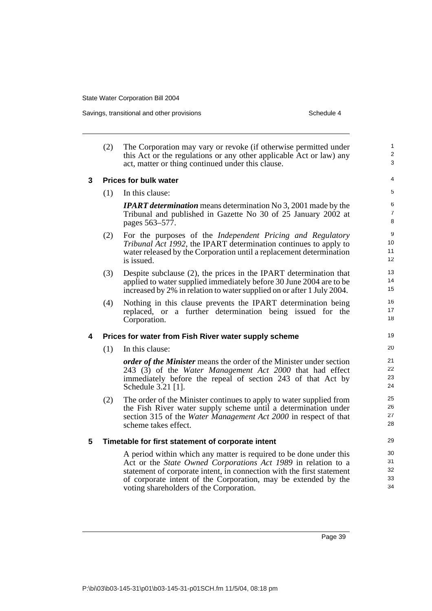Savings, transitional and other provisions Schedule 4

|   | (2) | The Corporation may vary or revoke (if otherwise permitted under<br>this Act or the regulations or any other applicable Act or law) any<br>act, matter or thing continued under this clause.                                                                                                                              | $\mathbf 1$<br>$\overline{\mathbf{c}}$<br>3 |
|---|-----|---------------------------------------------------------------------------------------------------------------------------------------------------------------------------------------------------------------------------------------------------------------------------------------------------------------------------|---------------------------------------------|
| 3 |     | <b>Prices for bulk water</b>                                                                                                                                                                                                                                                                                              | 4                                           |
|   | (1) | In this clause:                                                                                                                                                                                                                                                                                                           | 5                                           |
|   |     | <b>IPART determination</b> means determination No 3, 2001 made by the<br>Tribunal and published in Gazette No 30 of 25 January 2002 at<br>pages 563–577.                                                                                                                                                                  | 6<br>7<br>8                                 |
|   | (2) | For the purposes of the Independent Pricing and Regulatory<br>Tribunal Act 1992, the IPART determination continues to apply to<br>water released by the Corporation until a replacement determination<br>is issued.                                                                                                       | 9<br>10<br>11<br>12                         |
|   | (3) | Despite subclause (2), the prices in the IPART determination that<br>applied to water supplied immediately before 30 June 2004 are to be<br>increased by 2% in relation to water supplied on or after 1 July 2004.                                                                                                        | 13<br>14<br>15                              |
|   | (4) | Nothing in this clause prevents the IPART determination being<br>replaced, or a further determination being issued for the<br>Corporation.                                                                                                                                                                                | 16<br>17<br>18                              |
| 4 |     | Prices for water from Fish River water supply scheme                                                                                                                                                                                                                                                                      | 19                                          |
|   | (1) | In this clause:                                                                                                                                                                                                                                                                                                           | 20                                          |
|   |     | order of the Minister means the order of the Minister under section<br>243 (3) of the Water Management Act 2000 that had effect<br>immediately before the repeal of section 243 of that Act by<br>Schedule 3.21 [1].                                                                                                      | 21<br>22<br>23<br>24                        |
|   | (2) | The order of the Minister continues to apply to water supplied from<br>the Fish River water supply scheme until a determination under<br>section 315 of the Water Management Act 2000 in respect of that<br>scheme takes effect.                                                                                          | 25<br>26<br>27<br>28                        |
| 5 |     | Timetable for first statement of corporate intent                                                                                                                                                                                                                                                                         | 29                                          |
|   |     | A period within which any matter is required to be done under this<br>Act or the State Owned Corporations Act 1989 in relation to a<br>statement of corporate intent, in connection with the first statement<br>of corporate intent of the Corporation, may be extended by the<br>voting shareholders of the Corporation. | 30<br>31<br>32<br>33<br>34                  |
|   |     |                                                                                                                                                                                                                                                                                                                           |                                             |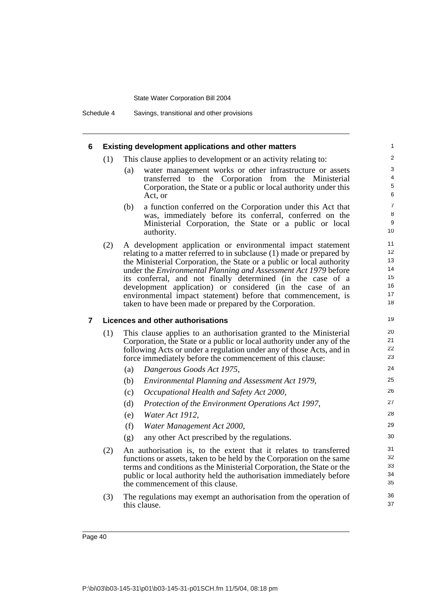Schedule 4 Savings, transitional and other provisions

#### **6 Existing development applications and other matters** (1) This clause applies to development or an activity relating to: (a) water management works or other infrastructure or assets transferred to the Corporation from the Ministerial Corporation, the State or a public or local authority under this Act, or (b) a function conferred on the Corporation under this Act that was, immediately before its conferral, conferred on the Ministerial Corporation, the State or a public or local authority. (2) A development application or environmental impact statement relating to a matter referred to in subclause (1) made or prepared by the Ministerial Corporation, the State or a public or local authority under the *Environmental Planning and Assessment Act 1979* before its conferral, and not finally determined (in the case of a development application) or considered (in the case of an environmental impact statement) before that commencement, is taken to have been made or prepared by the Corporation. **7 Licences and other authorisations** (1) This clause applies to an authorisation granted to the Ministerial Corporation, the State or a public or local authority under any of the following Acts or under a regulation under any of those Acts, and in force immediately before the commencement of this clause: (a) *Dangerous Goods Act 1975*, (b) *Environmental Planning and Assessment Act 1979*, (c) *Occupational Health and Safety Act 2000*, (d) *Protection of the Environment Operations Act 1997*, (e) *Water Act 1912*, (f) *Water Management Act 2000*, (g) any other Act prescribed by the regulations. (2) An authorisation is, to the extent that it relates to transferred functions or assets, taken to be held by the Corporation on the same terms and conditions as the Ministerial Corporation, the State or the public or local authority held the authorisation immediately before the commencement of this clause. (3) The regulations may exempt an authorisation from the operation of this clause. 1  $\overline{2}$ 3 4 5 6 7 8 9 10 11 12 13 14 15 16 17 18 19 20 21 22 23 24 25 26 27 28 29 30 31 32 33 34 35 36 37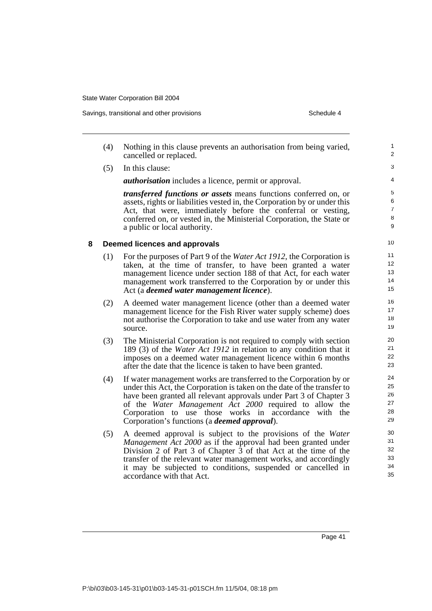Savings, transitional and other provisions Schedule 4

|   | (4) | Nothing in this clause prevents an authorisation from being varied,<br>cancelled or replaced.                                                                                                                                                                                                                                                                                                        | 1<br>2                             |
|---|-----|------------------------------------------------------------------------------------------------------------------------------------------------------------------------------------------------------------------------------------------------------------------------------------------------------------------------------------------------------------------------------------------------------|------------------------------------|
|   | (5) | In this clause:                                                                                                                                                                                                                                                                                                                                                                                      | 3                                  |
|   |     | <i>authorisation</i> includes a licence, permit or approval.                                                                                                                                                                                                                                                                                                                                         | 4                                  |
|   |     | <i>transferred functions or assets</i> means functions conferred on, or<br>assets, rights or liabilities vested in, the Corporation by or under this<br>Act, that were, immediately before the conferral or vesting,<br>conferred on, or vested in, the Ministerial Corporation, the State or<br>a public or local authority.                                                                        | 5<br>6<br>$\overline{7}$<br>8<br>9 |
| 8 |     | Deemed licences and approvals                                                                                                                                                                                                                                                                                                                                                                        | 10                                 |
|   | (1) | For the purposes of Part 9 of the <i>Water Act 1912</i> , the Corporation is<br>taken, at the time of transfer, to have been granted a water<br>management licence under section 188 of that Act, for each water<br>management work transferred to the Corporation by or under this<br>Act (a <i>deemed water management licence</i> ).                                                              | 11<br>12<br>13<br>14<br>15         |
|   | (2) | A deemed water management licence (other than a deemed water<br>management licence for the Fish River water supply scheme) does<br>not authorise the Corporation to take and use water from any water<br>source.                                                                                                                                                                                     | 16<br>17<br>18<br>19               |
|   | (3) | The Ministerial Corporation is not required to comply with section<br>189 (3) of the Water Act 1912 in relation to any condition that it<br>imposes on a deemed water management licence within 6 months<br>after the date that the licence is taken to have been granted.                                                                                                                           | 20<br>21<br>22<br>23               |
|   | (4) | If water management works are transferred to the Corporation by or<br>under this Act, the Corporation is taken on the date of the transfer to<br>have been granted all relevant approvals under Part 3 of Chapter 3<br>of the Water Management Act 2000 required to allow the<br>Corporation to use those works in accordance<br>with<br>the<br>Corporation's functions (a <i>deemed approval</i> ). | 24<br>25<br>26<br>27<br>28<br>29   |
|   | (5) | A deemed approval is subject to the provisions of the Water<br>Management Act 2000 as if the approval had been granted under<br>Division 2 of Part 3 of Chapter $\hat{3}$ of that Act at the time of the<br>transfer of the relevant water management works, and accordingly<br>it may be subjected to conditions, suspended or cancelled in<br>accordance with that Act.                            | 30<br>31<br>32<br>33<br>34<br>35   |
|   |     |                                                                                                                                                                                                                                                                                                                                                                                                      |                                    |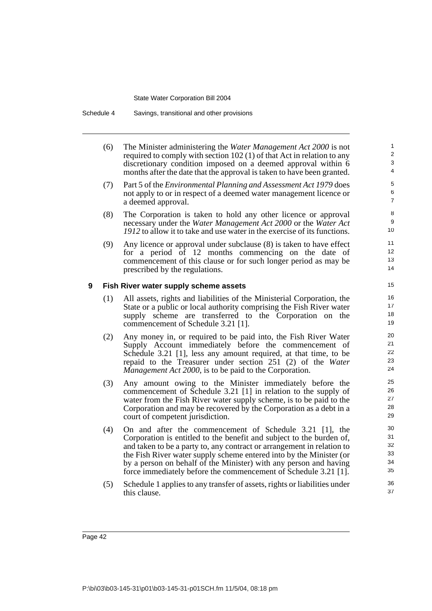Schedule 4 Savings, transitional and other provisions

(6) The Minister administering the *Water Management Act 2000* is not required to comply with section 102 (1) of that Act in relation to any discretionary condition imposed on a deemed approval within 6 months after the date that the approval is taken to have been granted.

- (7) Part 5 of the *Environmental Planning and Assessment Act 1979* does not apply to or in respect of a deemed water management licence or a deemed approval.
- (8) The Corporation is taken to hold any other licence or approval necessary under the *Water Management Act 2000* or the *Water Act 1912* to allow it to take and use water in the exercise of its functions.
- (9) Any licence or approval under subclause (8) is taken to have effect for a period of 12 months commencing on the date of commencement of this clause or for such longer period as may be prescribed by the regulations.

#### **9 Fish River water supply scheme assets**

- (1) All assets, rights and liabilities of the Ministerial Corporation, the State or a public or local authority comprising the Fish River water supply scheme are transferred to the Corporation on the commencement of Schedule 3.21 [1].
- (2) Any money in, or required to be paid into, the Fish River Water Supply Account immediately before the commencement of Schedule 3.21 [1], less any amount required, at that time, to be repaid to the Treasurer under section 251 (2) of the *Water Management Act 2000*, is to be paid to the Corporation.
- (3) Any amount owing to the Minister immediately before the commencement of Schedule 3.21 [1] in relation to the supply of water from the Fish River water supply scheme, is to be paid to the Corporation and may be recovered by the Corporation as a debt in a court of competent jurisdiction.
- (4) On and after the commencement of Schedule 3.21 [1], the Corporation is entitled to the benefit and subject to the burden of, and taken to be a party to, any contract or arrangement in relation to the Fish River water supply scheme entered into by the Minister (or by a person on behalf of the Minister) with any person and having force immediately before the commencement of Schedule 3.21 [1].
- (5) Schedule 1 applies to any transfer of assets, rights or liabilities under this clause.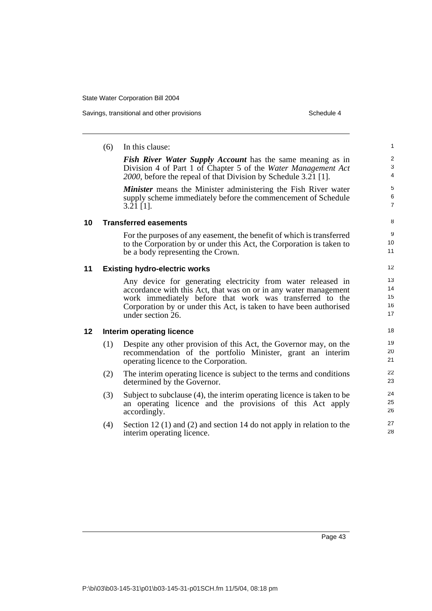|                 | (6) | In this clause:                                                                                                                                                                                                                                                                         | 1                                 |
|-----------------|-----|-----------------------------------------------------------------------------------------------------------------------------------------------------------------------------------------------------------------------------------------------------------------------------------------|-----------------------------------|
|                 |     | <b>Fish River Water Supply Account</b> has the same meaning as in<br>Division 4 of Part 1 of Chapter 5 of the Water Management Act<br>2000, before the repeal of that Division by Schedule 3.21 [1].                                                                                    | $\overline{\mathbf{c}}$<br>3<br>4 |
|                 |     | <b>Minister</b> means the Minister administering the Fish River water<br>supply scheme immediately before the commencement of Schedule<br>$3.21$ [1].                                                                                                                                   | 5<br>6<br>$\overline{7}$          |
| 10              |     | <b>Transferred easements</b>                                                                                                                                                                                                                                                            | 8                                 |
|                 |     | For the purposes of any easement, the benefit of which is transferred<br>to the Corporation by or under this Act, the Corporation is taken to<br>be a body representing the Crown.                                                                                                      | 9<br>10<br>11                     |
| 11              |     | <b>Existing hydro-electric works</b>                                                                                                                                                                                                                                                    | 12                                |
|                 |     | Any device for generating electricity from water released in<br>accordance with this Act, that was on or in any water management<br>work immediately before that work was transferred to the<br>Corporation by or under this Act, is taken to have been authorised<br>under section 26. | 13<br>14<br>15<br>16<br>17        |
| 12 <sub>2</sub> |     | Interim operating licence                                                                                                                                                                                                                                                               | 18                                |
|                 | (1) | Despite any other provision of this Act, the Governor may, on the<br>recommendation of the portfolio Minister, grant an interim<br>operating licence to the Corporation.                                                                                                                | 19<br>20<br>21                    |
|                 | (2) | The interim operating licence is subject to the terms and conditions<br>determined by the Governor.                                                                                                                                                                                     | 22<br>23                          |
|                 | (3) | Subject to subclause (4), the interim operating licence is taken to be<br>an operating licence and the provisions of this Act apply<br>accordingly.                                                                                                                                     | 24<br>25<br>26                    |
|                 | (4) | Section 12 $(1)$ and $(2)$ and section 14 do not apply in relation to the<br>interim operating licence.                                                                                                                                                                                 | 27<br>28                          |